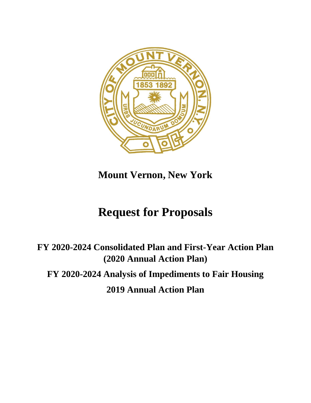

**Mount Vernon, New York**

# **Request for Proposals**

**FY 2020-2024 Consolidated Plan and First-Year Action Plan (2020 Annual Action Plan) FY 2020-2024 Analysis of Impediments to Fair Housing 2019 Annual Action Plan**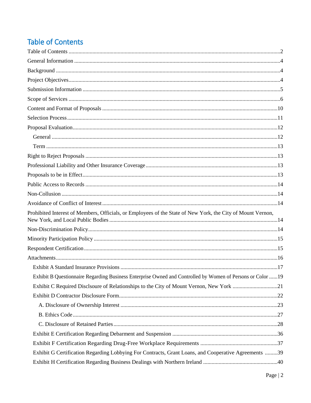# <span id="page-1-0"></span>**Table of Contents**

| Prohibited Interest of Members, Officials, or Employees of the State of New York, the City of Mount Vernon, |  |
|-------------------------------------------------------------------------------------------------------------|--|
|                                                                                                             |  |
|                                                                                                             |  |
|                                                                                                             |  |
|                                                                                                             |  |
|                                                                                                             |  |
| Exhibit B Questionnaire Regarding Business Enterprise Owned and Controlled by Women of Persons or Color 19  |  |
| Exhibit C Required Disclsoure of Relationships to the City of Mount Vernon, New York 21                     |  |
|                                                                                                             |  |
|                                                                                                             |  |
|                                                                                                             |  |
|                                                                                                             |  |
|                                                                                                             |  |
|                                                                                                             |  |
| Exhibit G Certification Regarding Lobbying For Contracts, Grant Loans, and Cooperative Agreements 39        |  |
|                                                                                                             |  |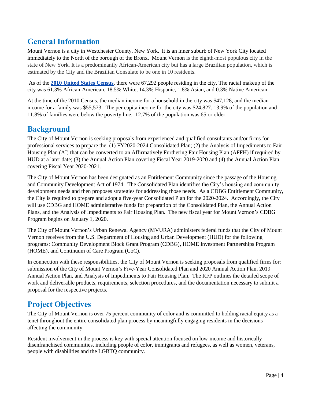# <span id="page-3-0"></span>**General Information**

Mount Vernon is a city in Westchester County, New York. It is an inner suburb of New York City located immediately to the North of the borough of the Bronx. Mount Vernon is the eighth-most populous city in the state of New York. It is a predominantly African-American city but has a large Brazilian population, which is estimated by the City and the Brazilian Consulate to be one in 10 residents.

As of the **[2010 United States Census](https://en.wikipedia.org/wiki/2010_United_States_Census)**, there were 67,292 people residing in the city. The racial makeup of the city was 61.3% African-American, 18.5% White, 14.3% Hispanic, 1.8% Asian, and 0.3% Native American.

At the time of the 2010 Census, the median income for a household in the city was \$47,128, and the median income for a family was \$55,573. The per capita income for the city was \$24,827. 13.9% of the population and 11.8% of families were below the poverty line. 12.7% of the population was 65 or older.

# <span id="page-3-1"></span>**Background**

The City of Mount Vernon is seeking proposals from experienced and qualified consultants and/or firms for professional services to prepare the: (1) FY2020-2024 Consolidated Plan; (2) the Analysis of Impediments to Fair Housing Plan (AI) that can be converted to an Affirmatively Furthering Fair Housing Plan (AFFH) if required by HUD at a later date; (3) the Annual Action Plan covering Fiscal Year 2019-2020 and (4) the Annual Action Plan covering Fiscal Year 2020-2021.

The City of Mount Vernon has been designated as an Entitlement Community since the passage of the Housing and Community Development Act of 1974. The Consolidated Plan identifies the City's housing and community development needs and then proposes strategies for addressing those needs. As a CDBG Entitlement Community, the City is required to prepare and adopt a five-year Consolidated Plan for the 2020-2024. Accordingly, the City will use CDBG and HOME administrative funds for preparation of the Consolidated Plan, the Annual Action Plans, and the Analysis of Impediments to Fair Housing Plan. The new fiscal year for Mount Vernon's CDBG Program begins on January 1, 2020.

The City of Mount Vernon's Urban Renewal Agency (MVURA) administers federal funds that the City of Mount Vernon receives from the U.S. Department of Housing and Urban Development (HUD) for the following programs: Community Development Block Grant Program (CDBG), HOME Investment Partnerships Program (HOME), and Continuum of Care Program (CoC).

In connection with these responsibilities, the City of Mount Vernon is seeking proposals from qualified firms for: submission of the City of Mount Vernon's Five-Year Consolidated Plan and 2020 Annual Action Plan, 2019 Annual Action Plan, and Analysis of Impediments to Fair Housing Plan. The RFP outlines the detailed scope of work and deliverable products, requirements, selection procedures, and the documentation necessary to submit a proposal for the respective projects.

# <span id="page-3-2"></span>**Project Objectives**

The City of Mount Vernon is over 75 percent community of color and is committed to holding racial equity as a tenet throughout the entire consolidated plan process by meaningfully engaging residents in the decisions affecting the community.

Resident involvement in the process is key with special attention focused on low-income and historically disenfranchised communities, including people of color, immigrants and refugees, as well as women, veterans, people with disabilities and the LGBTQ community.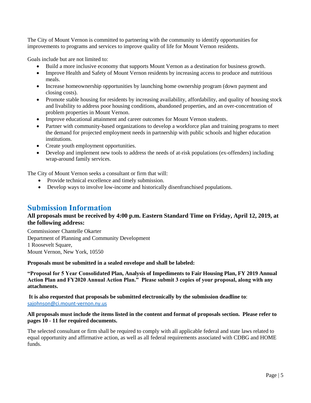The City of Mount Vernon is committed to partnering with the community to identify opportunities for improvements to programs and services to improve quality of life for Mount Vernon residents.

Goals include but are not limited to:

- Build a more inclusive economy that supports Mount Vernon as a destination for business growth.
- Improve Health and Safety of Mount Vernon residents by increasing access to produce and nutritious meals.
- Increase homeownership opportunities by launching home ownership program (down payment and closing costs).
- Promote stable housing for residents by increasing availability, affordability, and quality of housing stock and livability to address poor housing conditions, abandoned properties, and an over-concentration of problem properties in Mount Vernon.
- Improve educational attainment and career outcomes for Mount Vernon students.
- Partner with community-based organizations to develop a workforce plan and training programs to meet the demand for projected employment needs in partnership with public schools and higher education institutions.
- Create youth employment opportunities.
- Develop and implement new tools to address the needs of at-risk populations (ex-offenders) including wrap-around family services.

The City of Mount Vernon seeks a consultant or firm that will:

- Provide technical excellence and timely submission.
- Develop ways to involve low-income and historically disenfranchised populations.

# <span id="page-4-0"></span>**Submission Information**

#### **All proposals must be received by 4:00 p.m. Eastern Standard Time on Friday, April 12, 2019, at the following address:**

Commissioner Chantelle Okarter Department of Planning and Community Development 1 Roosevelt Square, Mount Vernon, New York, 10550

**Proposals must be submitted in a sealed envelope and shall be labeled:** 

**"Proposal for 5 Year Consolidated Plan, Analysis of Impediments to Fair Housing Plan, FY 2019 Annual Action Plan and FY2020 Annual Action Plan." Please submit 3 copies of your proposal, along with any attachments.** 

**It is also requested that proposals be submitted electronically by the submission deadline to**: [sajohnson@ci.mount-vernon.ny.us](mailto:sajohnson@ci.mount-vernon.ny.us) 

#### **All proposals must include the items listed in the content and format of proposals section. Please refer to pages 10 - 11 for required documents.**

The selected consultant or firm shall be required to comply with all applicable federal and state laws related to equal opportunity and affirmative action, as well as all federal requirements associated with CDBG and HOME funds.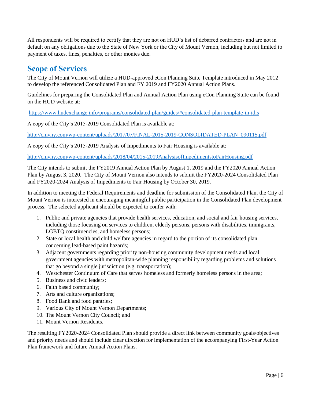All respondents will be required to certify that they are not on HUD's list of debarred contractors and are not in default on any obligations due to the State of New York or the City of Mount Vernon, including but not limited to payment of taxes, fines, penalties, or other monies due.

# <span id="page-5-0"></span>**Scope of Services**

The City of Mount Vernon will utilize a HUD-approved eCon Planning Suite Template introduced in May 2012 to develop the referenced Consolidated Plan and FY 2019 and FY2020 Annual Action Plans.

Guidelines for preparing the Consolidated Plan and Annual Action Plan using eCon Planning Suite can be found on the HUD website at:

<https://www.hudexchange.info/programs/consolidated-plan/guides/#consolidated-plan-template-in-idis>

A copy of the City's 2015-2019 Consolidated Plan is available at:

[http://cmvny.com/wp-content/uploads/2017/07/FINAL-2015-2019-CONSOLIDATED-PLAN\\_090115.pdf](http://cmvny.com/wp-content/uploads/2017/07/FINAL-2015-2019-CONSOLIDATED-PLAN_090115.pdf)

A copy of the City's 2015-2019 Analysis of Impediments to Fair Housing is available at:

<http://cmvny.com/wp-content/uploads/2018/04/2015-2019AnalysisofImpedimentstoFairHousing.pdf>

The City intends to submit the FY2019 Annual Action Plan by August 1, 2019 and the FY2020 Annual Action Plan by August 3, 2020. The City of Mount Vernon also intends to submit the FY2020-2024 Consolidated Plan and FY2020-2024 Analysis of Impediments to Fair Housing by October 30, 2019.

In addition to meeting the Federal Requirements and deadline for submission of the Consolidated Plan, the City of Mount Vernon is interested in encouraging meaningful public participation in the Consolidated Plan development process. The selected applicant should be expected to confer with:

- 1. Public and private agencies that provide health services, education, and social and fair housing services, including those focusing on services to children, elderly persons, persons with disabilities, immigrants, LGBTQ constituencies, and homeless persons;
- 2. State or local health and child welfare agencies in regard to the portion of its consolidated plan concerning lead-based paint hazards;
- 3. Adjacent governments regarding priority non-housing community development needs and local government agencies with metropolitan-wide planning responsibility regarding problems and solutions that go beyond a single jurisdiction (e.g. transportation);
- 4. Westchester Continuum of Care that serves homeless and formerly homeless persons in the area;
- 5. Business and civic leaders;
- 6. Faith based community;
- 7. Arts and culture organizations;
- 8. Food Bank and food pantries;
- 9. Various City of Mount Vernon Departments;
- 10. The Mount Vernon City Council; and
- 11. Mount Vernon Residents.

The resulting FY2020-2024 Consolidated Plan should provide a direct link between community goals/objectives and priority needs and should include clear direction for implementation of the accompanying First-Year Action Plan framework and future Annual Action Plans.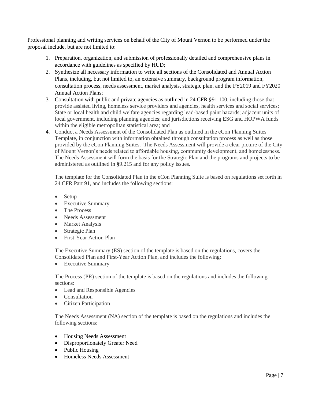Professional planning and writing services on behalf of the City of Mount Vernon to be performed under the proposal include, but are not limited to:

- 1. Preparation, organization, and submission of professionally detailed and comprehensive plans in accordance with guidelines as specified by HUD;
- 2. Synthesize all necessary information to write all sections of the Consolidated and Annual Action Plans, including, but not limited to, an extensive summary, background program information, consultation process, needs assessment, market analysis, strategic plan, and the FY2019 and FY2020 Annual Action Plans;
- 3. Consultation with public and private agencies as outlined in 24 CFR **§**91.100, including those that provide assisted living, homeless service providers and agencies, health services and social services; State or local health and child welfare agencies regarding lead-based paint hazards; adjacent units of local government, including planning agencies; and jurisdictions receiving ESG and HOPWA funds within the eligible metropolitan statistical area; and
- 4. Conduct a Needs Assessment of the Consolidated Plan as outlined in the eCon Planning Suites Template, in conjunction with information obtained through consultation process as well as those provided by the eCon Planning Suites. The Needs Assessment will provide a clear picture of the City of Mount Vernon's needs related to affordable housing, community development, and homelessness. The Needs Assessment will form the basis for the Strategic Plan and the programs and projects to be administered as outlined in **§**9.215 and for any policy issues.

The template for the Consolidated Plan in the eCon Planning Suite is based on regulations set forth in 24 CFR Part 91, and includes the following sections:

- Setup
- Executive Summary
- The Process
- Needs Assessment
- Market Analysis
- Strategic Plan
- First-Year Action Plan

The Executive Summary (ES) section of the template is based on the regulations, covers the Consolidated Plan and First-Year Action Plan, and includes the following:

• Executive Summary

The Process (PR) section of the template is based on the regulations and includes the following sections:

- Lead and Responsible Agencies
- Consultation
- Citizen Participation

The Needs Assessment (NA) section of the template is based on the regulations and includes the following sections:

- Housing Needs Assessment
- Disproportionately Greater Need
- Public Housing
- Homeless Needs Assessment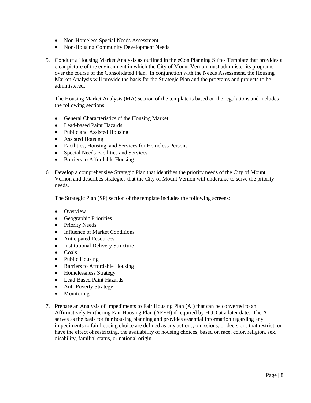- Non-Homeless Special Needs Assessment
- Non-Housing Community Development Needs
- 5. Conduct a Housing Market Analysis as outlined in the eCon Planning Suites Template that provides a clear picture of the environment in which the City of Mount Vernon must administer its programs over the course of the Consolidated Plan. In conjunction with the Needs Assessment, the Housing Market Analysis will provide the basis for the Strategic Plan and the programs and projects to be administered.

The Housing Market Analysis (MA) section of the template is based on the regulations and includes the following sections:

- General Characteristics of the Housing Market
- Lead-based Paint Hazards
- Public and Assisted Housing
- Assisted Housing
- Facilities, Housing, and Services for Homeless Persons
- Special Needs Facilities and Services
- Barriers to Affordable Housing
- 6. Develop a comprehensive Strategic Plan that identifies the priority needs of the City of Mount Vernon and describes strategies that the City of Mount Vernon will undertake to serve the priority needs.

The Strategic Plan (SP) section of the template includes the following screens:

- Overview
- Geographic Priorities
- Priority Needs
- Influence of Market Conditions
- Anticipated Resources
- Institutional Delivery Structure
- Goals
- Public Housing
- Barriers to Affordable Housing
- Homelessness Strategy
- Lead-Based Paint Hazards
- Anti-Poverty Strategy
- Monitoring
- 7. Prepare an Analysis of Impediments to Fair Housing Plan (AI) that can be converted to an Affirmatively Furthering Fair Housing Plan (AFFH) if required by HUD at a later date. The AI serves as the basis for fair housing planning and provides essential information regarding any impediments to fair housing choice are defined as any actions, omissions, or decisions that restrict, or have the effect of restricting, the availability of housing choices, based on race, color, religion, sex, disability, familial status, or national origin.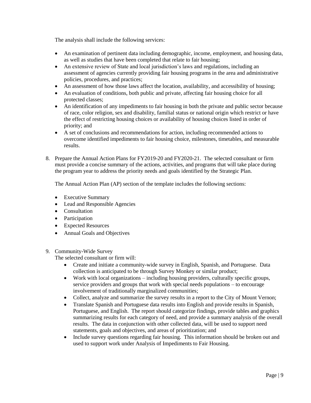The analysis shall include the following services:

- An examination of pertinent data including demographic, income, employment, and housing data, as well as studies that have been completed that relate to fair housing;
- An extensive review of State and local jurisdiction's laws and regulations, including an assessment of agencies currently providing fair housing programs in the area and administrative policies, procedures, and practices;
- An assessment of how those laws affect the location, availability, and accessibility of housing;
- An evaluation of conditions, both public and private, affecting fair housing choice for all protected classes;
- An identification of any impediments to fair housing in both the private and public sector because of race, color religion, sex and disability, familial status or national origin which restrict or have the effect of restricting housing choices or availability of housing choices listed in order of priority; and
- A set of conclusions and recommendations for action, including recommended actions to overcome identified impediments to fair housing choice, milestones, timetables, and measurable results.
- 8. Prepare the Annual Action Plans for FY2019-20 and FY2020-21. The selected consultant or firm must provide a concise summary of the actions, activities, and programs that will take place during the program year to address the priority needs and goals identified by the Strategic Plan.

The Annual Action Plan (AP) section of the template includes the following sections:

- Executive Summary
- Lead and Responsible Agencies
- Consultation
- Participation
- Expected Resources
- Annual Goals and Objectives
- 9. Community-Wide Survey

The selected consultant or firm will:

- Create and initiate a community-wide survey in English, Spanish, and Portuguese. Data collection is anticipated to be through Survey Monkey or similar product;
- Work with local organizations including housing providers, culturally specific groups, service providers and groups that work with special needs populations – to encourage involvement of traditionally marginalized communities;
- Collect, analyze and summarize the survey results in a report to the City of Mount Vernon;
- Translate Spanish and Portuguese data results into English and provide results in Spanish, Portuguese, and English. The report should categorize findings, provide tables and graphics summarizing results for each category of need, and provide a summary analysis of the overall results. The data in conjunction with other collected data, will be used to support need statements, goals and objectives, and areas of prioritization; and
- Include survey questions regarding fair housing. This information should be broken out and used to support work under Analysis of Impediments to Fair Housing.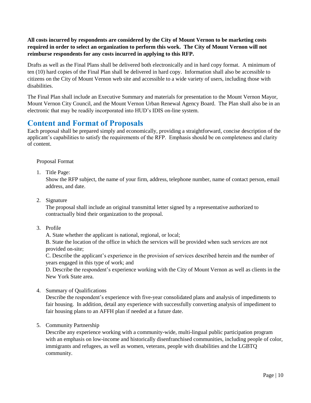**All costs incurred by respondents are considered by the City of Mount Vernon to be marketing costs required in order to select an organization to perform this work. The City of Mount Vernon will not reimburse respondents for any costs incurred in applying to this RFP.**

Drafts as well as the Final Plans shall be delivered both electronically and in hard copy format. A minimum of ten (10) hard copies of the Final Plan shall be delivered in hard copy. Information shall also be accessible to citizens on the City of Mount Vernon web site and accessible to a wide variety of users, including those with disabilities.

The Final Plan shall include an Executive Summary and materials for presentation to the Mount Vernon Mayor, Mount Vernon City Council, and the Mount Vernon Urban Renewal Agency Board. The Plan shall also be in an electronic that may be readily incorporated into HUD's IDIS on-line system.

# <span id="page-9-0"></span>**Content and Format of Proposals**

Each proposal shall be prepared simply and economically, providing a straightforward, concise description of the applicant's capabilities to satisfy the requirements of the RFP. Emphasis should be on completeness and clarity of content.

#### Proposal Format

1. Title Page:

Show the RFP subject, the name of your firm, address, telephone number, name of contact person, email address, and date.

2. Signature

The proposal shall include an original transmittal letter signed by a representative authorized to contractually bind their organization to the proposal.

3. Profile

A. State whether the applicant is national, regional, or local;

B. State the location of the office in which the services will be provided when such services are not provided on-site;

C. Describe the applicant's experience in the provision of services described herein and the number of years engaged in this type of work; and

D. Describe the respondent's experience working with the City of Mount Vernon as well as clients in the New York State area.

4. Summary of Qualifications

Describe the respondent's experience with five-year consolidated plans and analysis of impediments to fair housing. In addition, detail any experience with successfully converting analysis of impediment to fair housing plans to an AFFH plan if needed at a future date.

5. Community Partnership

Describe any experience working with a community-wide, multi-lingual public participation program with an emphasis on low-income and historically disenfranchised communities, including people of color, immigrants and refugees, as well as women, veterans, people with disabilities and the LGBTQ community.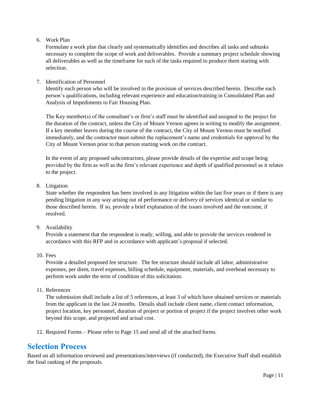6. Work Plan

Formulate a work plan that clearly and systematically identifies and describes all tasks and subtasks necessary to complete the scope of work and deliverables. Provide a summary project schedule showing all deliverables as well as the timeframe for each of the tasks required to produce them starting with selection.

7. Identification of Personnel

Identify each person who will be involved in the provision of services described herein. Describe each person's qualifications, including relevant experience and education/training in Consolidated Plan and Analysis of Impediments to Fair Housing Plan.

The Key member(s) of the consultant's or firm's staff must be identified and assigned to the project for the duration of the contract, unless the City of Mount Vernon agrees in writing to modify the assignment. If a key member leaves during the course of the contract, the City of Mount Vernon must be notified immediately, and the contractor must submit the replacement's name and credentials for approval by the City of Mount Vernon prior to that person starting work on the contract.

In the event of any proposed subcontractors, please provide details of the expertise and scope being provided by the firm as well as the firm's relevant experience and depth of qualified personnel as it relates to the project.

8. Litigation

State whether the respondent has been involved in any litigation within the last five years or if there is any pending litigation in any way arising out of performance or delivery of services identical or similar to those described herein. If so, provide a brief explanation of the issues involved and the outcome, if resolved.

9. Availability

Provide a statement that the respondent is ready, willing, and able to provide the services rendered in accordance with this RFP and in accordance with applicant's proposal if selected.

10. Fees

Provide a detailed proposed fee structure. The fee structure should include all labor, administrative expenses, per diem, travel expenses, billing schedule, equipment, materials, and overhead necessary to perform work under the term of condition of this solicitation.

11. References

The submission shall include a list of 5 references, at least 3 of which have obtained services or materials from the applicant in the last 24 months. Details shall include client name, client contact information, project location, key personnel, duration of project or portion of project if the project involves other work beyond this scope, and projected and actual cost.

12. Required Forms – Please refer to Page 15 and send all of the attached forms.

# <span id="page-10-0"></span>**Selection Process**

Based on all information reviewed and presentations/interviews (if conducted), the Executive Staff shall establish the final ranking of the proposals.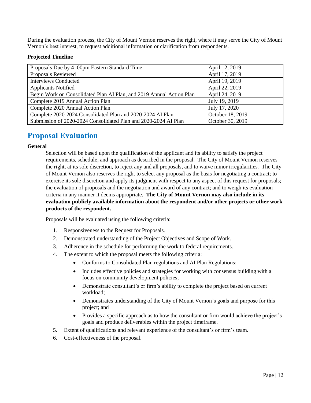During the evaluation process, the City of Mount Vernon reserves the right, where it may serve the City of Mount Vernon's best interest, to request additional information or clarification from respondents.

#### **Projected Timeline**

| Proposals Due by 4:00pm Eastern Standard Time                        | April 12, 2019   |
|----------------------------------------------------------------------|------------------|
| Proposals Reviewed                                                   | April 17, 2019   |
| <b>Interviews Conducted</b>                                          | April 19, 2019   |
| <b>Applicants Notified</b>                                           | April 22, 2019   |
| Begin Work on Consolidated Plan AI Plan, and 2019 Annual Action Plan | April 24, 2019   |
| Complete 2019 Annual Action Plan                                     | July 19, 2019    |
| Complete 2020 Annual Action Plan                                     | July 17, 2020    |
| Complete 2020-2024 Consolidated Plan and 2020-2024 AI Plan           | October 18, 2019 |
| Submission of 2020-2024 Consolidated Plan and 2020-2024 AI Plan      | October 30, 2019 |
|                                                                      |                  |

# <span id="page-11-0"></span>**Proposal Evaluation**

#### <span id="page-11-1"></span>**General**

Selection will be based upon the qualification of the applicant and its ability to satisfy the project requirements, schedule, and approach as described in the proposal. The City of Mount Vernon reserves the right, at its sole discretion, to reject any and all proposals, and to waive minor irregularities. The City of Mount Vernon also reserves the right to select any proposal as the basis for negotiating a contract; to exercise its sole discretion and apply its judgment with respect to any aspect of this request for proposals; the evaluation of proposals and the negotiation and award of any contract; and to weigh its evaluation criteria in any manner it deems appropriate. **The City of Mount Vernon may also include in its evaluation publicly available information about the respondent and/or other projects or other work products of the respondent.** 

Proposals will be evaluated using the following criteria:

- 1. Responsiveness to the Request for Proposals.
- 2. Demonstrated understanding of the Project Objectives and Scope of Work.
- 3. Adherence in the schedule for performing the work to federal requirements.
- 4. The extent to which the proposal meets the following criteria:
	- Conforms to Consolidated Plan regulations and AI Plan Regulations;
	- Includes effective policies and strategies for working with consensus building with a focus on community development policies;
	- Demonstrate consultant's or firm's ability to complete the project based on current workload;
	- Demonstrates understanding of the City of Mount Vernon's goals and purpose for this project; and
	- Provides a specific approach as to how the consultant or firm would achieve the project's goals and produce deliverables within the project timeframe.
- 5. Extent of qualifications and relevant experience of the consultant's or firm's team.
- 6. Cost-effectiveness of the proposal.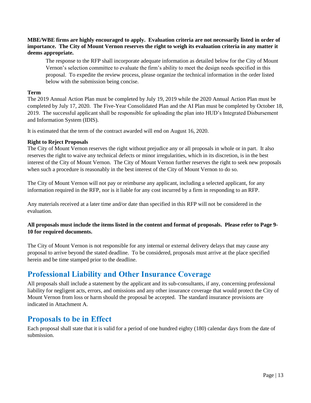#### **MBE/WBE firms are highly encouraged to apply. Evaluation criteria are not necessarily listed in order of importance. The City of Mount Vernon reserves the right to weigh its evaluation criteria in any matter it deems appropriate.**

The response to the RFP shall incorporate adequate information as detailed below for the City of Mount Vernon's selection committee to evaluate the firm's ability to meet the design needs specified in this proposal. To expedite the review process, please organize the technical information in the order listed below with the submission being concise.

#### <span id="page-12-0"></span>**Term**

The 2019 Annual Action Plan must be completed by July 19, 2019 while the 2020 Annual Action Plan must be completed by July 17, 2020. The Five-Year Consolidated Plan and the AI Plan must be completed by October 18, 2019. The successful applicant shall be responsible for uploading the plan into HUD's Integrated Disbursement and Information System (IDIS).

It is estimated that the term of the contract awarded will end on August 16, 2020.

#### <span id="page-12-1"></span>**Right to Reject Proposals**

The City of Mount Vernon reserves the right without prejudice any or all proposals in whole or in part. It also reserves the right to waive any technical defects or minor irregularities, which in its discretion, is in the best interest of the City of Mount Vernon. The City of Mount Vernon further reserves the right to seek new proposals when such a procedure is reasonably in the best interest of the City of Mount Vernon to do so.

The City of Mount Vernon will not pay or reimburse any applicant, including a selected applicant, for any information required in the RFP, nor is it liable for any cost incurred by a firm in responding to an RFP.

Any materials received at a later time and/or date than specified in this RFP will not be considered in the evaluation.

#### **All proposals must include the items listed in the content and format of proposals. Please refer to Page 9- 10 for required documents.**

The City of Mount Vernon is not responsible for any internal or external delivery delays that may cause any proposal to arrive beyond the stated deadline. To be considered, proposals must arrive at the place specified herein and be time stamped prior to the deadline.

# <span id="page-12-2"></span>**Professional Liability and Other Insurance Coverage**

All proposals shall include a statement by the applicant and its sub-consultants, if any, concerning professional liability for negligent acts, errors, and omissions and any other insurance coverage that would protect the City of Mount Vernon from loss or harm should the proposal be accepted. The standard insurance provisions are indicated in Attachment A.

# <span id="page-12-3"></span>**Proposals to be in Effect**

Each proposal shall state that it is valid for a period of one hundred eighty (180) calendar days from the date of submission.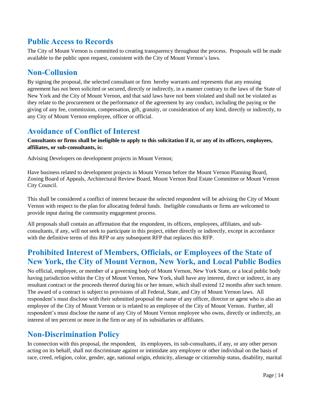# <span id="page-13-0"></span>**Public Access to Records**

The City of Mount Vernon is committed to creating transparency throughout the process. Proposals will be made available to the public upon request, consistent with the City of Mount Vernon's laws.

# <span id="page-13-1"></span>**Non-Collusion**

By signing the proposal, the selected consultant or firm hereby warrants and represents that any ensuing agreement has not been solicited or secured, directly or indirectly, in a manner contrary to the laws of the State of New York and the City of Mount Vernon, and that said laws have not been violated and shall not be violated as they relate to the procurement or the performance of the agreement by any conduct, including the paying or the giving of any fee, commission, compensation, gift, gratuity, or consideration of any kind, directly or indirectly, to any City of Mount Vernon employee, officer or official.

# <span id="page-13-2"></span>**Avoidance of Conflict of Interest**

**Consultants or firms shall be ineligible to apply to this solicitation if it, or any of its officers, employees, affiliates, or sub-consultants, is:**

Advising Developers on development projects in Mount Vernon;

Have business related to development projects in Mount Vernon before the Mount Vernon Planning Board, Zoning Board of Appeals, Architectural Review Board, Mount Vernon Real Estate Committee or Mount Vernon City Council.

This shall be considered a conflict of interest because the selected respondent will be advising the City of Mount Vernon with respect to the plan for allocating federal funds. Ineligible consultants or firms are welcomed to provide input during the community engagement process.

All proposals shall contain an affirmation that the respondent, its officers, employees, affiliates, and subconsultants, if any, will not seek to participate in this project, either directly or indirectly, except in accordance with the definitive terms of this RFP or any subsequent RFP that replaces this RFP.

# <span id="page-13-3"></span>**Prohibited Interest of Members, Officials, or Employees of the State of New York, the City of Mount Vernon, New York, and Local Public Bodies**

No official, employee, or member of a governing body of Mount Vernon, New York State, or a local public body having jurisdiction within the City of Mount Vernon, New York, shall have any interest, direct or indirect, in any resultant contract or the proceeds thereof during his or her tenure, which shall extend 12 months after such tenure. The award of a contract is subject to provisions of all Federal, State, and City of Mount Vernon laws. All respondent's must disclose with their submitted proposal the name of any officer, director or agent who is also an employee of the City of Mount Vernon or is related to an employee of the City of Mount Vernon. Further, all respondent's must disclose the name of any City of Mount Vernon employee who owns, directly or indirectly, an interest of ten percent or more in the firm or any of its subsidiaries or affiliates.

# <span id="page-13-4"></span>**Non-Discrimination Policy**

In connection with this proposal, the respondent, its employees, its sub-consultants, if any, or any other person acting on its behalf, shall not discriminate against or intimidate any employee or other individual on the basis of race, creed, religion, color, gender, age, national origin, ethnicity, alienage or citizenship status, disability, marital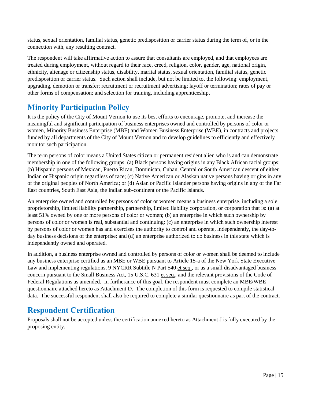status, sexual orientation, familial status, genetic predisposition or carrier status during the term of, or in the connection with, any resulting contract.

The respondent will take affirmative action to assure that consultants are employed, and that employees are treated during employment, without regard to their race, creed, religion, color, gender, age, national origin, ethnicity, alienage or citizenship status, disability, marital status, sexual orientation, familial status, genetic predisposition or carrier status. Such action shall include, but not be limited to, the following: employment, upgrading, demotion or transfer; recruitment or recruitment advertising; layoff or termination; rates of pay or other forms of compensation; and selection for training, including apprenticeship.

# <span id="page-14-0"></span>**Minority Participation Policy**

It is the policy of the City of Mount Vernon to use its best efforts to encourage, promote, and increase the meaningful and significant participation of business enterprises owned and controlled by persons of color or women, Minority Business Enterprise (MBE) and Women Business Enterprise (WBE), in contracts and projects funded by all departments of the City of Mount Vernon and to develop guidelines to efficiently and effectively monitor such participation.

The term persons of color means a United States citizen or permanent resident alien who is and can demonstrate membership in one of the following groups: (a) Black persons having origins in any Black African racial groups; (b) Hispanic persons of Mexican, Puerto Rican, Dominican, Cuban, Central or South American descent of either Indian or Hispanic origin regardless of race; (c) Native American or Alaskan native persons having origins in any of the original peoples of North America; or (d) Asian or Pacific Islander persons having origins in any of the Far East countries, South East Asia, the Indian sub-continent or the Pacific Islands.

An enterprise owned and controlled by persons of color or women means a business enterprise, including a sole proprietorship, limited liability partnership, partnership, limited liability corporation, or corporation that is: (a) at least 51% owned by one or more persons of color or women; (b) an enterprise in which such ownership by persons of color or women is real, substantial and continuing; (c) an enterprise in which such ownership interest by persons of color or women has and exercises the authority to control and operate, independently, the day-today business decisions of the enterprise; and (d) an enterprise authorized to do business in this state which is independently owned and operated.

In addition, a business enterprise owned and controlled by persons of color or women shall be deemed to include any business enterprise certified as an MBE or WBE pursuant to Article 15-a of the New York State Executive Law and implementing regulations, 9 NYCRR Subtitle N Part 540 et seq., or as a small disadvantaged business concern pursuant to the Small Business Act, 15 U.S.C. 631 et seq., and the relevant provisions of the Code of Federal Regulations as amended. In furtherance of this goal, the respondent must complete an MBE/WBE questionnaire attached hereto as Attachment D. The completion of this form is requested to compile statistical data. The successful respondent shall also be required to complete a similar questionnaire as part of the contract.

# <span id="page-14-1"></span>**Respondent Certification**

Proposals shall not be accepted unless the certification annexed hereto as Attachment J is fully executed by the proposing entity.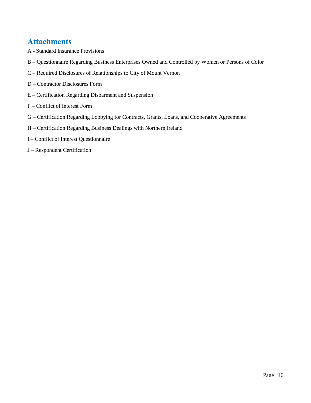# <span id="page-15-0"></span>**Attachments**

- A Standard Insurance Provisions
- B Questionnaire Regarding Business Enterprises Owned and Controlled by Women or Persons of Color
- C Required Disclosures of Relationships to City of Mount Vernon
- D Contractor Disclosures Form
- E Certification Regarding Disbarment and Suspension
- F Conflict of Interest Form
- G Certification Regarding Lobbying for Contracts, Grants, Loans, and Cooperative Agreements
- H Certification Regarding Business Dealings with Northern Ireland
- I Conflict of Interest Questionnaire
- J Respondent Certification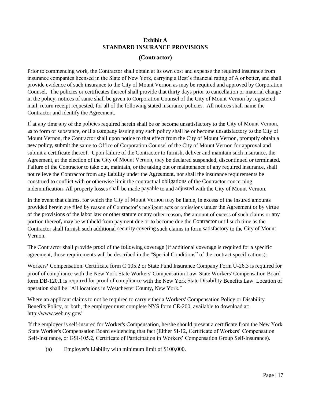# **Exhibit A STANDARD INSURANCE PROVISIONS**

#### **(Contractor)**

<span id="page-16-0"></span>Prior to commencing work, the Contractor shall obtain at its own cost and expense the required insurance from insurance companies licensed in the Slate of New York, carrying a Best's financial rating of A or better, and shall provide evidence of such insurance to the City of Mount Vernon as may be required and approved by Corporation Counsel. The policies or certificates thereof shall provide that thirty days prior to cancellation or material change in the policy, notices of same shall be given to Corporation Counsel of the City of Mount Vernon by registered mail, return receipt requested, for all of the following stated insurance policies. All notices shall name the Contractor and identify the Agreement.

If at any time any of the policies required herein shall be or become unsatisfactory to the City of Mount Vernon, as to form or substance, or if a company issuing any such policy shall be or become unsatisfactory to the City of Mount Vernon, the Contractor shall upon notice to that effect from the City of Mount Vernon, promptly obtain a new policy, submit the same to Office of Corporation Counsel of the City of Mount Vernon for approval and submit a certificate thereof. Upon failure of the Contractor to furnish, deliver and maintain such insurance, the Agreement, at the election of the City of Mount Vernon, may be declared suspended, discontinued or terminated. Failure of the Contractor to take out, maintain, or the taking out or maintenance of any required insurance, shall not relieve the Contractor from any liability under the Agreement, nor shall the insurance requirements be construed to conflict with or otherwise limit the contractual obligations of the Contractor concerning indemnification. All property losses shall be made payable to and adjusted with the City of Mount Vernon.

In the event that claims, for which the City of Mount Vernon may be liable, in excess of the insured amounts provided herein are filed by reason of Contractor's negligent acts or omissions under the Agreement or by virtue of the provisions of the labor law or other statute or any other reason, the amount of excess of such claims or any portion thereof, may be withheld from payment due or to become due the Contractor until such time as the Contractor shall furnish such additional security covering such claims in form satisfactory to the City of Mount Vernon.

The Contractor shall provide proof of the following coverage (if additional coverage is required for a specific agreement, those requirements will be described in the "Special Conditions" of the contract specifications):

Workers' Compensation. Certificate form C-105.2 or State Fund Insurance Company Form U-26.3 is required for proof of compliance with the New York State Workers' Compensation Law. State Workers' Compensation Board form DB-120.1 is required for proof of compliance with the New York State Disability Benefits Law. Location of operation shall be "All locations in Westchester County, New York."

Where an applicant claims to not be required to carry either a Workers' Compensation Policy or Disability Benefits Policy, or both, the employer must complete NYS form CE-200, available to download at: http://www.web.ny.gov/

If the employer is self-insured for Worker's Compensation, he/she should present a certificate from the New York State Worker's Compensation Board evidencing that fact (Either SI-12, Certificate of Workers' Compensation Self-Insurance, or GSI-105.2, Certificate of Participation in Workers' Compensation Group Self-Insurance).

(a) Employer's Liability with minimum limit of \$100,000.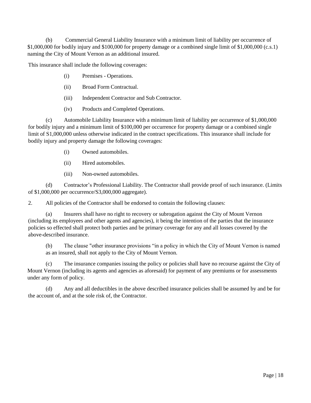(b) Commercial General Liability Insurance with a minimum limit of liability per occurrence of \$1,000,000 for bodily injury and \$100,000 for property damage or a combined single limit of \$1,000,000 (c.s.1) naming the City of Mount Vernon as an additional insured.

This insurance shall include the following coverages:

- (i) Premises Operations.
- (ii) Broad Form Contractual.
- (iii) Independent Contractor and Sub Contractor.
- (iv) Products and Completed Operations.

(c) Automobile Liability Insurance with a minimum limit of liability per occurrence of \$1,000,000 for bodily injury and a minimum limit of \$100,000 per occurrence for property damage or a combined single limit of S1,000,000 unless otherwise indicated in the contract specifications. This insurance shall include for bodily injury and property damage the following coverages:

- (i) Owned automobiles.
- (ii) Hired automobiles.
- (iii) Non-owned automobiles.

(d) Contractor's Professional Liability. The Contractor shall provide proof of such insurance. (Limits of \$1,000,000 per occurrence/S3,000,000 aggregate).

2. All policies of the Contractor shall be endorsed to contain the following clauses:

(a) Insurers shall have no right to recovery or subrogation against the City of Mount Vernon (including its employees and other agents and agencies), it being the intention of the parties that the insurance policies so effected shall protect both parties and be primary coverage for any and all losses covered by the above-described insurance.

(b) The clause "other insurance provisions "in a policy in which the City of Mount Vernon is named as an insured, shall not apply to the City of Mount Vernon.

(c) The insurance companies issuing the policy or policies shall have no recourse against the City of Mount Vernon (including its agents and agencies as aforesaid) for payment of any premiums or for assessments under any form of policy.

(d) Any and all deductibles in the above described insurance policies shall be assumed by and be for the account of, and at the sole risk of, the Contractor.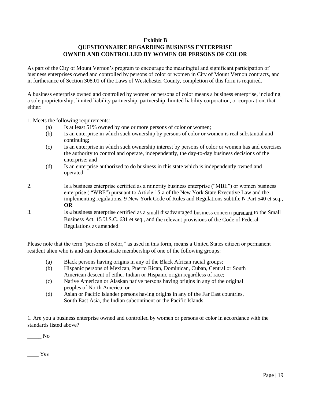#### **Exhibit B**

### **QUESTIONNAIRE REGARDING BUSINESS ENTERPRISE OWNED AND CONTROLLED BY WOMEN OR PERSONS OF COLOR**

<span id="page-18-0"></span>As part of the City of Mount Vernon's program to encourage the meaningful and significant participation of business enterprises owned and controlled by persons of color or women in City of Mount Vernon contracts, and in furtherance of Section 308.01 of the Laws of Westchester County, completion of this form is required.

A business enterprise owned and controlled by women or persons of color means a business enterprise, including a sole proprietorship, limited liability partnership, partnership, limited liability corporation, or corporation, that either:

1. Meets the following requirements:

- (a) Is at least 51% owned by one or more persons of color or women;
- (b) Is an enterprise in which such ownership by persons of color or women is real substantial and continuing;
- (c) Is an enterprise in which such ownership interest by persons of color or women has and exercises the authority to control and operate, independently, the day-to-day business decisions of the enterprise; and
- (d) Is an enterprise authorized to do business in this state which is independently owned and operated.
- 2. Is a business enterprise certified as a minority business enterprise ("MBE") or women business enterprise ( "WBE") pursuant to Article 15-a of the New York State Executive Law and the implementing regulations, 9 New York Code of Rules and Regulations subtitle N Part 540 et scq., **OR**
- 3. Is a business enterprise certified as a small disadvantaged business concern pursuant to the Small Business Act, 15 U.S.C. 631 et seq., and the relevant provisions of the Code of Federal Regulations as amended.

Please note that the term "persons of color," as used in this form, means a United States citizen or permanent resident alien who is and can demonstrate membership of one of the following groups:

- (a) Black persons having origins in any of the Black African racial groups;
- (b) Hispanic persons of Mexican, Puerto Rican, Dominican, Cuban, Central or South American descent of either Indian or Hispanic origin regardless of race;
- (c) Native American or Alaskan native persons having origins in any of the original peoples of North America; or
- (d) Asian or Pacific Islander persons having origins in any of the Far East countries, South East Asia, the Indian subcontinent or the Pacific Islands.

1. Are you a business enterprise owned and controlled by women or persons of color in accordance with the standards listed above?

 $\overline{N_0}$ 

\_\_\_\_ Yes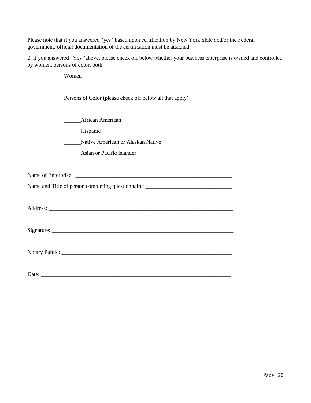Please note that if you answered "yes "based upon certification by New York State and/or the Federal government, official documentation of the certification must be attached.

2. If you answered "Yes "above, please check off below whether your business enterprise is owned and controlled by women, persons of color, both.

| Women                                                                            |
|----------------------------------------------------------------------------------|
| Persons of Color (please check off below all that apply)                         |
| <b>African American</b>                                                          |
| Hispanic                                                                         |
| Native American or Alaskan Native                                                |
| <b>Asian or Pacific Islander</b>                                                 |
|                                                                                  |
|                                                                                  |
| Name and Title of person completing questionnaire: _____________________________ |
|                                                                                  |
|                                                                                  |
|                                                                                  |
|                                                                                  |
|                                                                                  |
|                                                                                  |
|                                                                                  |
|                                                                                  |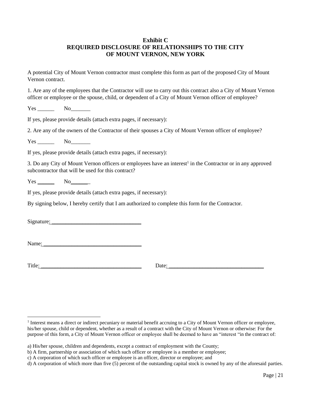### **Exhibit C REQUIRED DISCLOSURE OF RELATIONSHIPS TO THE CITY OF MOUNT VERNON, NEW YORK**

<span id="page-20-0"></span>A potential City of Mount Vernon contractor must complete this form as part of the proposed City of Mount Vernon contract.

1. Are any of the employees that the Contractor will use to carry out this contract also a City of Mount Vernon officer or employee or the spouse, child, or dependent of a City of Mount Vernon officer of employee?

Yes No

If yes, please provide details (attach extra pages, if necessary):

2. Are any of the owners of the Contractor of their spouses a City of Mount Vernon officer of employee?

Yes \_\_\_\_\_\_ No\_\_\_\_\_\_\_

If yes, please provide details (attach extra pages, if necessary):

3. Do any City of Mount Vernon officers or employees have an interest<sup>1</sup> in the Contractor or in any approved subcontractor that will be used for this contract?

Yes \_\_\_\_\_\_ No\_\_\_\_\_\_\_

 $\overline{a}$ 

If yes, please provide details (attach extra pages, if necessary):

By signing below, I hereby certify that I am authorized to complete this form for the Contractor.

Signature: \_\_\_\_\_\_\_\_\_\_\_\_\_\_\_\_\_\_\_\_\_\_\_\_\_\_\_\_\_\_\_\_

Name: \_\_\_\_\_\_\_\_\_\_\_\_\_\_\_\_\_\_\_\_\_\_\_\_\_\_\_\_\_\_\_\_\_\_\_

Title:  $\Box$ 

<sup>&</sup>lt;sup>1</sup> Interest means a direct or indirect pecuniary or material benefit accruing to a City of Mount Vernon officer or employee, his/her spouse, child or dependent, whether as a result of a contract with the City of Mount Vernon or otherwise: For the purpose of this form, a City of Mount Vernon officer or employee shall be deemed to have an "interest "in the contract of:

a) His/her spouse, children and dependents, except a contract of employment with the County;

b) A firm, partnership or association of which such officer or employee is a member or employee;

c) A corporation of which such officer or employee is an officer, director or employee; and

d) A corporation of which more than five (5) percent of the outstanding capital stock is owned by any of the aforesaid parties.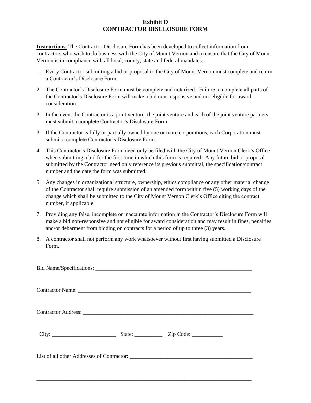### **Exhibit D CONTRACTOR DISCLOSURE FORM**

<span id="page-21-0"></span>**Instructions**: The Contractor Disclosure Form has been developed to collect information from contractors who wish to do business with the City of Mount Vernon and to ensure that the City of Mount Vernon is in compliance with all local, county, state and federal mandates.

- 1. Every Contractor submitting a bid or proposal to the City of Mount Vernon must complete and return a Contractor's Disclosure Form.
- 2. The Contractor's Disclosure Form must be complete and notarized. Failure to complete all parts of the Contractor's Disclosure Form will make a bid non-responsive and not eligible for award consideration.
- 3. In the event the Contractor is a joint venture, the joint venture and each of the joint venture partners must submit a complete Contractor's Disclosure Form.
- 3. If the Contractor is fully or partially owned by one or more corporations, each Corporation must submit a complete Contractor's Disclosure Form.
- 4. This Contractor's Disclosure Form need only be filed with the City of Mount Vernon Clerk's Office when submitting a bid for the first time in which this form is required. Any future bid or proposal submitted by the Contractor need only reference its previous submittal, the specification/contract number and the date the form was submitted.
- 5. Any changes in organizational structure, ownership, ethics compliance or any other material change of the Contractor shall require submission of an amended form within five (5) working days of the change which shall be submitted to the City of Mount Vernon Clerk's Office citing the contract number, if applicable.
- 7. Providing any false, incomplete or inaccurate information in the Contractor's Disclosure Form will make a bid non-responsive and not eligible for award consideration and may result in fines, penalties and/or debarment from bidding on contracts for a period of up to three (3) years.
- 8. A contractor shall not perform any work whatsoever without first having submitted a Disclosure Form.

\_\_\_\_\_\_\_\_\_\_\_\_\_\_\_\_\_\_\_\_\_\_\_\_\_\_\_\_\_\_\_\_\_\_\_\_\_\_\_\_\_\_\_\_\_\_\_\_\_\_\_\_\_\_\_\_\_\_\_\_\_\_\_\_\_\_\_\_\_\_\_\_\_\_\_\_\_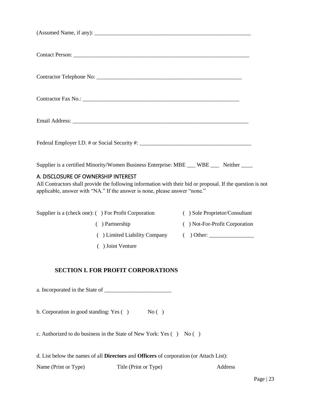| Supplier is a certified Minority/Women Business Enterprise: MBE ___ WBE ___ Neither ___<br>A. DISCLOSURE OF OWNERSHIP INTEREST                                                           |                                |
|------------------------------------------------------------------------------------------------------------------------------------------------------------------------------------------|--------------------------------|
| All Contractors shall provide the following information with their bid or proposal. If the question is not<br>applicable, answer with "NA." If the answer is none, please answer "none." |                                |
| Supplier is a (check one): () For Profit Corporation                                                                                                                                     | ( ) Sole Proprietor/Consultant |
| ( ) Partnership                                                                                                                                                                          | ( ) Not-For-Profit Corporation |
| ( ) Limited Liability Company                                                                                                                                                            | $\left($                       |
| ( ) Joint Venture                                                                                                                                                                        |                                |
|                                                                                                                                                                                          |                                |

### <span id="page-22-0"></span>**SECTION I. FOR PROFIT CORPORATIONS**

a. Incorporated in the State of \_\_\_\_\_\_\_\_\_\_\_\_\_\_\_\_\_\_\_\_\_\_\_\_

b. Corporation in good standing: Yes () No ()

c. Authorized to do business in the State of New York: Yes () No ()

d. List below the names of all **Directors** and **Officers** of corporation (or Attach List):

Name (Print or Type) Title (Print or Type) Address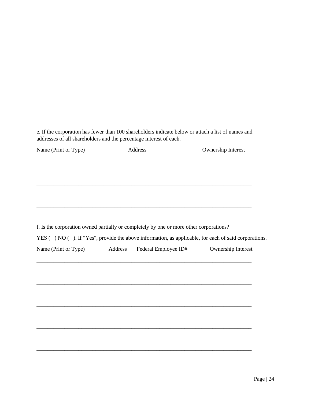e. If the corporation has fewer than 100 shareholders indicate below or attach a list of names and addresses of all shareholders and the percentage interest of each

| Name (Print or Type)                                                                   |         | Address                                                                                              | Ownership Interest |
|----------------------------------------------------------------------------------------|---------|------------------------------------------------------------------------------------------------------|--------------------|
|                                                                                        |         |                                                                                                      |                    |
|                                                                                        |         |                                                                                                      |                    |
|                                                                                        |         |                                                                                                      |                    |
|                                                                                        |         |                                                                                                      |                    |
|                                                                                        |         |                                                                                                      |                    |
|                                                                                        |         |                                                                                                      |                    |
|                                                                                        |         |                                                                                                      |                    |
|                                                                                        |         |                                                                                                      |                    |
| f. Is the corporation owned partially or completely by one or more other corporations? |         |                                                                                                      |                    |
|                                                                                        |         |                                                                                                      |                    |
|                                                                                        |         |                                                                                                      |                    |
|                                                                                        |         | YES () NO (). If "Yes", provide the above information, as applicable, for each of said corporations. |                    |
| Name (Print or Type)                                                                   | Address | Federal Employee ID#                                                                                 | Ownership Interest |
|                                                                                        |         |                                                                                                      |                    |
|                                                                                        |         |                                                                                                      |                    |
|                                                                                        |         |                                                                                                      |                    |
|                                                                                        |         |                                                                                                      |                    |
|                                                                                        |         |                                                                                                      |                    |
|                                                                                        |         |                                                                                                      |                    |
|                                                                                        |         |                                                                                                      |                    |
|                                                                                        |         |                                                                                                      |                    |
|                                                                                        |         |                                                                                                      |                    |
|                                                                                        |         |                                                                                                      |                    |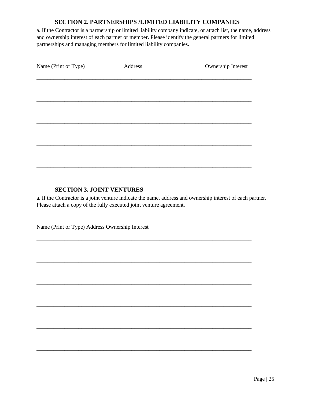#### **SECTION 2. PARTNERSHIPS /LIMITED LIABILITY COMPANIES**

a. If the Contractor is a partnership or limited liability company indicate, or attach list, the name, address and ownership interest of each partner or member. Please identify the general partners for limited partnerships and managing members for limited liability companies.

| Name (Print or Type) | Address | Ownership Interest |
|----------------------|---------|--------------------|
|                      |         |                    |
|                      |         |                    |
|                      |         |                    |
|                      |         |                    |
|                      |         |                    |

### **SECTION 3. JOINT VENTURES**

a. If the Contractor is a joint venture indicate the name, address and ownership interest of each partner. Please attach a copy of the fully executed joint venture agreement.

\_\_\_\_\_\_\_\_\_\_\_\_\_\_\_\_\_\_\_\_\_\_\_\_\_\_\_\_\_\_\_\_\_\_\_\_\_\_\_\_\_\_\_\_\_\_\_\_\_\_\_\_\_\_\_\_\_\_\_\_\_\_\_\_\_\_\_\_\_\_\_\_\_\_\_\_\_

\_\_\_\_\_\_\_\_\_\_\_\_\_\_\_\_\_\_\_\_\_\_\_\_\_\_\_\_\_\_\_\_\_\_\_\_\_\_\_\_\_\_\_\_\_\_\_\_\_\_\_\_\_\_\_\_\_\_\_\_\_\_\_\_\_\_\_\_\_\_\_\_\_\_\_\_\_

\_\_\_\_\_\_\_\_\_\_\_\_\_\_\_\_\_\_\_\_\_\_\_\_\_\_\_\_\_\_\_\_\_\_\_\_\_\_\_\_\_\_\_\_\_\_\_\_\_\_\_\_\_\_\_\_\_\_\_\_\_\_\_\_\_\_\_\_\_\_\_\_\_\_\_\_\_

\_\_\_\_\_\_\_\_\_\_\_\_\_\_\_\_\_\_\_\_\_\_\_\_\_\_\_\_\_\_\_\_\_\_\_\_\_\_\_\_\_\_\_\_\_\_\_\_\_\_\_\_\_\_\_\_\_\_\_\_\_\_\_\_\_\_\_\_\_\_\_\_\_\_\_\_\_

\_\_\_\_\_\_\_\_\_\_\_\_\_\_\_\_\_\_\_\_\_\_\_\_\_\_\_\_\_\_\_\_\_\_\_\_\_\_\_\_\_\_\_\_\_\_\_\_\_\_\_\_\_\_\_\_\_\_\_\_\_\_\_\_\_\_\_\_\_\_\_\_\_\_\_\_\_

\_\_\_\_\_\_\_\_\_\_\_\_\_\_\_\_\_\_\_\_\_\_\_\_\_\_\_\_\_\_\_\_\_\_\_\_\_\_\_\_\_\_\_\_\_\_\_\_\_\_\_\_\_\_\_\_\_\_\_\_\_\_\_\_\_\_\_\_\_\_\_\_\_\_\_\_\_

Name (Print or Type) Address Ownership Interest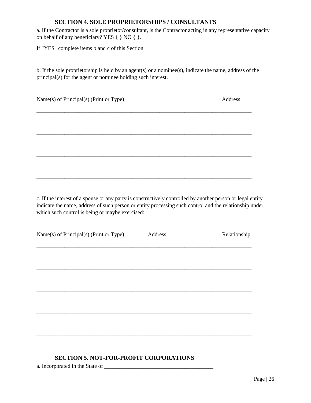### **SECTION 4. SOLE PROPRIETORSHIPS / CONSULTANTS**

a. If the Contractor is a sole proprietor/consultant, is the Contractor acting in any representative capacity on behalf of any beneficiary? YES { } NO { }.

If "YES" complete items b and c of this Section.

b. If the sole proprietorship is held by an agent(s) or a nominee(s), indicate the name, address of the principal(s) for the agent or nominee holding such interest.

| Name(s) of Principal $(s)$ (Print or Type)                                                                                                                                                                                                                              | Address |
|-------------------------------------------------------------------------------------------------------------------------------------------------------------------------------------------------------------------------------------------------------------------------|---------|
|                                                                                                                                                                                                                                                                         |         |
|                                                                                                                                                                                                                                                                         |         |
|                                                                                                                                                                                                                                                                         |         |
| c. If the interest of a spouse or any party is constructively controlled by another person or legal entity<br>indicate the name, address of such person or entity processing such control and the relationship under<br>which such control is being or maybe exercised: |         |
|                                                                                                                                                                                                                                                                         |         |

Name(s) of Principal(s) (Print or Type) Address Relationship

\_\_\_\_\_\_\_\_\_\_\_\_\_\_\_\_\_\_\_\_\_\_\_\_\_\_\_\_\_\_\_\_\_\_\_\_\_\_\_\_\_\_\_\_\_\_\_\_\_\_\_\_\_\_\_\_\_\_\_\_\_\_\_\_\_\_\_\_\_\_\_\_\_\_\_\_\_

\_\_\_\_\_\_\_\_\_\_\_\_\_\_\_\_\_\_\_\_\_\_\_\_\_\_\_\_\_\_\_\_\_\_\_\_\_\_\_\_\_\_\_\_\_\_\_\_\_\_\_\_\_\_\_\_\_\_\_\_\_\_\_\_\_\_\_\_\_\_\_\_\_\_\_\_\_

\_\_\_\_\_\_\_\_\_\_\_\_\_\_\_\_\_\_\_\_\_\_\_\_\_\_\_\_\_\_\_\_\_\_\_\_\_\_\_\_\_\_\_\_\_\_\_\_\_\_\_\_\_\_\_\_\_\_\_\_\_\_\_\_\_\_\_\_\_\_\_\_\_\_\_\_\_

\_\_\_\_\_\_\_\_\_\_\_\_\_\_\_\_\_\_\_\_\_\_\_\_\_\_\_\_\_\_\_\_\_\_\_\_\_\_\_\_\_\_\_\_\_\_\_\_\_\_\_\_\_\_\_\_\_\_\_\_\_\_\_\_\_\_\_\_\_\_\_\_\_\_\_\_\_

\_\_\_\_\_\_\_\_\_\_\_\_\_\_\_\_\_\_\_\_\_\_\_\_\_\_\_\_\_\_\_\_\_\_\_\_\_\_\_\_\_\_\_\_\_\_\_\_\_\_\_\_\_\_\_\_\_\_\_\_\_\_\_\_\_\_\_\_\_\_\_\_\_\_\_\_\_

### **SECTION 5. NOT-FOR-PROFIT CORPORATIONS**

a. Incorporated in the State of \_\_\_\_\_\_\_\_\_\_\_\_\_\_\_\_\_\_\_\_\_\_\_\_\_\_\_\_\_\_\_\_\_\_\_\_\_\_\_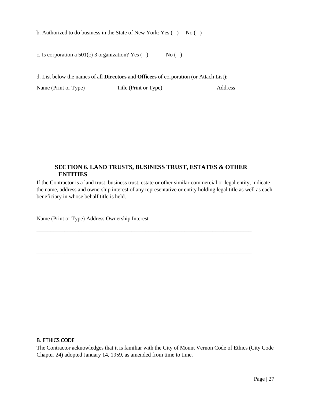b. Authorized to do business in the State of New York: Yes  $( )$  No  $( )$ 

c. Is corporation a  $501(c)$  3 organization? Yes () No ()

d. List below the names of all **Directors** and **Officers** of corporation (or Attach List):

| Name (Print or Type) | Title (Print or Type) | Address |
|----------------------|-----------------------|---------|
|                      |                       |         |
|                      |                       |         |

\_\_\_\_\_\_\_\_\_\_\_\_\_\_\_\_\_\_\_\_\_\_\_\_\_\_\_\_\_\_\_\_\_\_\_\_\_\_\_\_\_\_\_\_\_\_\_\_\_\_\_\_\_\_\_\_\_\_\_\_\_\_\_\_\_\_\_\_\_\_\_\_\_\_\_\_

\_\_\_\_\_\_\_\_\_\_\_\_\_\_\_\_\_\_\_\_\_\_\_\_\_\_\_\_\_\_\_\_\_\_\_\_\_\_\_\_\_\_\_\_\_\_\_\_\_\_\_\_\_\_\_\_\_\_\_\_\_\_\_\_\_\_\_\_\_\_\_\_\_\_\_\_

\_\_\_\_\_\_\_\_\_\_\_\_\_\_\_\_\_\_\_\_\_\_\_\_\_\_\_\_\_\_\_\_\_\_\_\_\_\_\_\_\_\_\_\_\_\_\_\_\_\_\_\_\_\_\_\_\_\_\_\_\_\_\_\_\_\_\_\_\_\_\_\_\_\_\_\_

\_\_\_\_\_\_\_\_\_\_\_\_\_\_\_\_\_\_\_\_\_\_\_\_\_\_\_\_\_\_\_\_\_\_\_\_\_\_\_\_\_\_\_\_\_\_\_\_\_\_\_\_\_\_\_\_\_\_\_\_\_\_\_\_\_\_\_\_\_\_\_\_\_\_\_\_\_

\_\_\_\_\_\_\_\_\_\_\_\_\_\_\_\_\_\_\_\_\_\_\_\_\_\_\_\_\_\_\_\_\_\_\_\_\_\_\_\_\_\_\_\_\_\_\_\_\_\_\_\_\_\_\_\_\_\_\_\_\_\_\_\_\_\_\_\_\_\_\_\_\_\_\_\_\_

\_\_\_\_\_\_\_\_\_\_\_\_\_\_\_\_\_\_\_\_\_\_\_\_\_\_\_\_\_\_\_\_\_\_\_\_\_\_\_\_\_\_\_\_\_\_\_\_\_\_\_\_\_\_\_\_\_\_\_\_\_\_\_\_\_\_\_\_\_\_\_\_\_\_\_\_\_

\_\_\_\_\_\_\_\_\_\_\_\_\_\_\_\_\_\_\_\_\_\_\_\_\_\_\_\_\_\_\_\_\_\_\_\_\_\_\_\_\_\_\_\_\_\_\_\_\_\_\_\_\_\_\_\_\_\_\_\_\_\_\_\_\_\_\_\_\_\_\_\_\_\_\_\_\_

\_\_\_\_\_\_\_\_\_\_\_\_\_\_\_\_\_\_\_\_\_\_\_\_\_\_\_\_\_\_\_\_\_\_\_\_\_\_\_\_\_\_\_\_\_\_\_\_\_\_\_\_\_\_\_\_\_\_\_\_\_\_\_\_\_\_\_\_\_\_\_\_\_\_\_\_\_

\_\_\_\_\_\_\_\_\_\_\_\_\_\_\_\_\_\_\_\_\_\_\_\_\_\_\_\_\_\_\_\_\_\_\_\_\_\_\_\_\_\_\_\_\_\_\_\_\_\_\_\_\_\_\_\_\_\_\_\_\_\_\_\_\_\_\_\_\_\_\_\_\_\_\_\_\_

### **SECTION 6. LAND TRUSTS, BUSINESS TRUST, ESTATES & OTHER ENTITIES**

If the Contractor is a land trust, business trust, estate or other similar commercial or legal entity, indicate the name, address and ownership interest of any representative or entity holding legal title as well as each beneficiary in whose behalf title is held.

Name (Print or Type) Address Ownership Interest

#### <span id="page-26-0"></span>B. ETHICS CODE

The Contractor acknowledges that it is familiar with the City of Mount Vernon Code of Ethics (City Code Chapter 24) adopted January 14, 1959, as amended from time to time.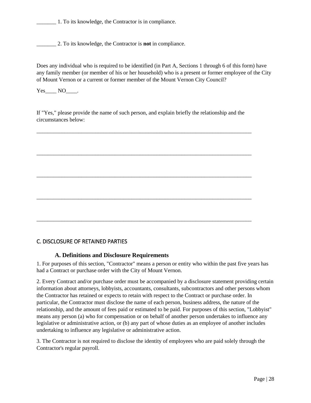\_\_\_\_\_\_\_ 1. To its knowledge, the Contractor is in compliance.

\_\_\_\_\_\_\_ 2. To its knowledge, the Contractor is **not** in compliance.

Does any individual who is required to be identified (in Part A, Sections 1 through 6 of this form) have any family member (or member of his or her household) who is a present or former employee of the City of Mount Vernon or a current or former member of the Mount Vernon City Council?

 $Yes$  NO\_\_\_\_.

If "Yes," please provide the name of such person, and explain briefly the relationship and the circumstances below:

\_\_\_\_\_\_\_\_\_\_\_\_\_\_\_\_\_\_\_\_\_\_\_\_\_\_\_\_\_\_\_\_\_\_\_\_\_\_\_\_\_\_\_\_\_\_\_\_\_\_\_\_\_\_\_\_\_\_\_\_\_\_\_\_\_\_\_\_\_\_\_\_\_\_\_\_\_

\_\_\_\_\_\_\_\_\_\_\_\_\_\_\_\_\_\_\_\_\_\_\_\_\_\_\_\_\_\_\_\_\_\_\_\_\_\_\_\_\_\_\_\_\_\_\_\_\_\_\_\_\_\_\_\_\_\_\_\_\_\_\_\_\_\_\_\_\_\_\_\_\_\_\_\_\_

\_\_\_\_\_\_\_\_\_\_\_\_\_\_\_\_\_\_\_\_\_\_\_\_\_\_\_\_\_\_\_\_\_\_\_\_\_\_\_\_\_\_\_\_\_\_\_\_\_\_\_\_\_\_\_\_\_\_\_\_\_\_\_\_\_\_\_\_\_\_\_\_\_\_\_\_\_

\_\_\_\_\_\_\_\_\_\_\_\_\_\_\_\_\_\_\_\_\_\_\_\_\_\_\_\_\_\_\_\_\_\_\_\_\_\_\_\_\_\_\_\_\_\_\_\_\_\_\_\_\_\_\_\_\_\_\_\_\_\_\_\_\_\_\_\_\_\_\_\_\_\_\_\_\_

\_\_\_\_\_\_\_\_\_\_\_\_\_\_\_\_\_\_\_\_\_\_\_\_\_\_\_\_\_\_\_\_\_\_\_\_\_\_\_\_\_\_\_\_\_\_\_\_\_\_\_\_\_\_\_\_\_\_\_\_\_\_\_\_\_\_\_\_\_\_\_\_\_\_\_\_\_

#### <span id="page-27-0"></span>C. DISCLOSURE OF RETAINED PARTIES

#### **A. Definitions and Disclosure Requirements**

1. For purposes of this section, "Contractor" means a person or entity who within the past five years has had a Contract or purchase order with the City of Mount Vernon.

2. Every Contract and/or purchase order must be accompanied by a disclosure statement providing certain information about attorneys, lobbyists, accountants, consultants, subcontractors and other persons whom the Contractor has retained or expects to retain with respect to the Contract or purchase order. In particular, the Contractor must disclose the name of each person, business address, the nature of the relationship, and the amount of fees paid or estimated to be paid. For purposes of this section, "Lobbyist" means any person (a) who for compensation or on behalf of another person undertakes to influence any legislative or administrative action, or (b) any part of whose duties as an employee of another includes undertaking to influence any legislative or administrative action.

3. The Contractor is not required to disclose the identity of employees who are paid solely through the Contractor's regular payroll.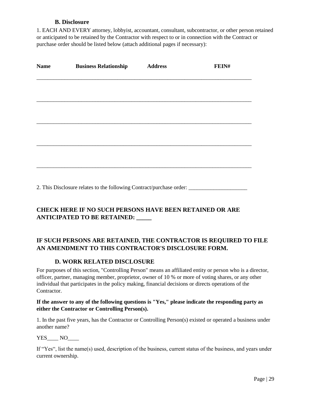#### **B. Disclosure**

1. EACH AND EVERY attorney, lobbyist, accountant, consultant, subcontractor, or other person retained or anticipated to be retained by the Contractor with respect to or in connection with the Contract or purchase order should be listed below (attach additional pages if necessary):

| <b>Name</b> | <b>Business Relationship</b> | <b>Address</b> | FEIN# |
|-------------|------------------------------|----------------|-------|
|             |                              |                |       |
|             |                              |                |       |
|             |                              |                |       |
|             |                              |                |       |
|             |                              |                |       |
|             |                              |                |       |

2. This Disclosure relates to the following Contract/purchase order: \_\_\_\_\_\_\_\_\_\_\_\_\_\_\_\_\_\_\_\_\_

### **CHECK HERE IF NO SUCH PERSONS HAVE BEEN RETAINED OR ARE ANTICIPATED TO BE RETAINED: \_\_\_\_\_**

### **IF SUCH PERSONS ARE RETAINED, THE CONTRACTOR IS REQUIRED TO FILE AN AMENDMENT TO THIS CONTRACTOR'S DISCLOSURE FORM.**

#### **D. WORK RELATED DISCLOSURE**

For purposes of this section, "Controlling Person" means an affiliated entity or person who is a director, officer, partner, managing member, proprietor, owner of 10 % or more of voting shares, or any other individual that participates in the policy making, financial decisions or directs operations of the Contractor.

#### **If the answer to any of the following questions is "Yes," please indicate the responding party as either the Contractor or Controlling Person(s).**

1. In the past five years, has the Contractor or Controlling Person(s) existed or operated a business under another name?

#### YES NO

If "Yes", list the name(s) used, description of the business, current status of the business, and years under current ownership.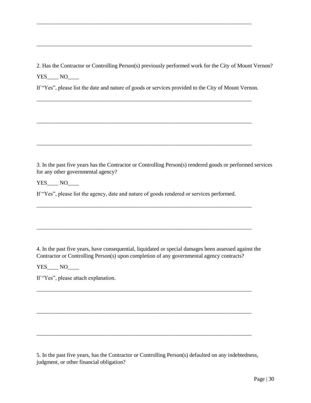2. Has the Contractor or Controlling Person(s) previously performed work for the City of Mount Vernon? YES\_\_\_\_ NO\_\_\_\_

If "Yes", please list the date and nature of goods or services provided to the City of Mount Vernon.

\_\_\_\_\_\_\_\_\_\_\_\_\_\_\_\_\_\_\_\_\_\_\_\_\_\_\_\_\_\_\_\_\_\_\_\_\_\_\_\_\_\_\_\_\_\_\_\_\_\_\_\_\_\_\_\_\_\_\_\_\_\_\_\_\_\_\_\_\_\_\_\_\_\_\_\_\_

\_\_\_\_\_\_\_\_\_\_\_\_\_\_\_\_\_\_\_\_\_\_\_\_\_\_\_\_\_\_\_\_\_\_\_\_\_\_\_\_\_\_\_\_\_\_\_\_\_\_\_\_\_\_\_\_\_\_\_\_\_\_\_\_\_\_\_\_\_\_\_\_\_\_\_\_\_

\_\_\_\_\_\_\_\_\_\_\_\_\_\_\_\_\_\_\_\_\_\_\_\_\_\_\_\_\_\_\_\_\_\_\_\_\_\_\_\_\_\_\_\_\_\_\_\_\_\_\_\_\_\_\_\_\_\_\_\_\_\_\_\_\_\_\_\_\_\_\_\_\_\_\_\_\_

\_\_\_\_\_\_\_\_\_\_\_\_\_\_\_\_\_\_\_\_\_\_\_\_\_\_\_\_\_\_\_\_\_\_\_\_\_\_\_\_\_\_\_\_\_\_\_\_\_\_\_\_\_\_\_\_\_\_\_\_\_\_\_\_\_\_\_\_\_\_\_\_\_\_\_\_\_

\_\_\_\_\_\_\_\_\_\_\_\_\_\_\_\_\_\_\_\_\_\_\_\_\_\_\_\_\_\_\_\_\_\_\_\_\_\_\_\_\_\_\_\_\_\_\_\_\_\_\_\_\_\_\_\_\_\_\_\_\_\_\_\_\_\_\_\_\_\_\_\_\_\_\_\_\_

3. In the past five years has the Contractor or Controlling Person(s) rendered goods or performed services for any other governmental agency?

YES NO

If "Yes", please list the agency, date and nature of goods rendered or services performed.

\_\_\_\_\_\_\_\_\_\_\_\_\_\_\_\_\_\_\_\_\_\_\_\_\_\_\_\_\_\_\_\_\_\_\_\_\_\_\_\_\_\_\_\_\_\_\_\_\_\_\_\_\_\_\_\_\_\_\_\_\_\_\_\_\_\_\_\_\_\_\_\_\_\_\_\_\_

\_\_\_\_\_\_\_\_\_\_\_\_\_\_\_\_\_\_\_\_\_\_\_\_\_\_\_\_\_\_\_\_\_\_\_\_\_\_\_\_\_\_\_\_\_\_\_\_\_\_\_\_\_\_\_\_\_\_\_\_\_\_\_\_\_\_\_\_\_\_\_\_\_\_\_\_\_

4. In the past five years, have consequential, liquidated or special damages been assessed against the Contractor or Controlling Person(s) upon completion of any governmental agency contracts?

\_\_\_\_\_\_\_\_\_\_\_\_\_\_\_\_\_\_\_\_\_\_\_\_\_\_\_\_\_\_\_\_\_\_\_\_\_\_\_\_\_\_\_\_\_\_\_\_\_\_\_\_\_\_\_\_\_\_\_\_\_\_\_\_\_\_\_\_\_\_\_\_\_\_\_\_\_

\_\_\_\_\_\_\_\_\_\_\_\_\_\_\_\_\_\_\_\_\_\_\_\_\_\_\_\_\_\_\_\_\_\_\_\_\_\_\_\_\_\_\_\_\_\_\_\_\_\_\_\_\_\_\_\_\_\_\_\_\_\_\_\_\_\_\_\_\_\_\_\_\_\_\_\_\_

\_\_\_\_\_\_\_\_\_\_\_\_\_\_\_\_\_\_\_\_\_\_\_\_\_\_\_\_\_\_\_\_\_\_\_\_\_\_\_\_\_\_\_\_\_\_\_\_\_\_\_\_\_\_\_\_\_\_\_\_\_\_\_\_\_\_\_\_\_\_\_\_\_\_\_\_\_

YES NO

If "Yes", please attach explanation.

5. In the past five years, has the Contractor or Controlling Person(s) defaulted on any indebtedness, judgment, or other financial obligation?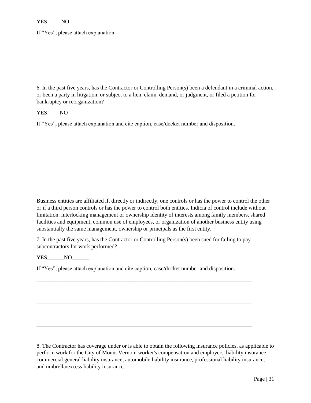YES \_\_\_\_ NO\_\_\_\_

If "Yes", please attach explanation.

6. In the past five years, has the Contractor or Controlling Person(s) been a defendant in a criminal action, or been a party in litigation, or subject to a lien, claim, demand, or judgment, or filed a petition for bankruptcy or reorganization?

\_\_\_\_\_\_\_\_\_\_\_\_\_\_\_\_\_\_\_\_\_\_\_\_\_\_\_\_\_\_\_\_\_\_\_\_\_\_\_\_\_\_\_\_\_\_\_\_\_\_\_\_\_\_\_\_\_\_\_\_\_\_\_\_\_\_\_\_\_\_\_\_\_\_\_\_\_

\_\_\_\_\_\_\_\_\_\_\_\_\_\_\_\_\_\_\_\_\_\_\_\_\_\_\_\_\_\_\_\_\_\_\_\_\_\_\_\_\_\_\_\_\_\_\_\_\_\_\_\_\_\_\_\_\_\_\_\_\_\_\_\_\_\_\_\_\_\_\_\_\_\_\_\_\_

YES NO

If "Yes", please attach explanation and cite caption, case/docket number and disposition.

\_\_\_\_\_\_\_\_\_\_\_\_\_\_\_\_\_\_\_\_\_\_\_\_\_\_\_\_\_\_\_\_\_\_\_\_\_\_\_\_\_\_\_\_\_\_\_\_\_\_\_\_\_\_\_\_\_\_\_\_\_\_\_\_\_\_\_\_\_\_\_\_\_\_\_\_\_

\_\_\_\_\_\_\_\_\_\_\_\_\_\_\_\_\_\_\_\_\_\_\_\_\_\_\_\_\_\_\_\_\_\_\_\_\_\_\_\_\_\_\_\_\_\_\_\_\_\_\_\_\_\_\_\_\_\_\_\_\_\_\_\_\_\_\_\_\_\_\_\_\_\_\_\_\_

\_\_\_\_\_\_\_\_\_\_\_\_\_\_\_\_\_\_\_\_\_\_\_\_\_\_\_\_\_\_\_\_\_\_\_\_\_\_\_\_\_\_\_\_\_\_\_\_\_\_\_\_\_\_\_\_\_\_\_\_\_\_\_\_\_\_\_\_\_\_\_\_\_\_\_\_\_

Business entities are affiliated if, directly or indirectly, one controls or has the power to control the other or if a third person controls or has the power to control both entities. Indicia of control include without limitation: interlocking management or ownership identity of interests among family members, shared facilities and equipment, common use of employees, or organization of another business entity using substantially the same management, ownership or principals as the first entity.

7. In the past five years, has the Contractor or Controlling Person(s) been sued for failing to pay subcontractors for work performed?

\_\_\_\_\_\_\_\_\_\_\_\_\_\_\_\_\_\_\_\_\_\_\_\_\_\_\_\_\_\_\_\_\_\_\_\_\_\_\_\_\_\_\_\_\_\_\_\_\_\_\_\_\_\_\_\_\_\_\_\_\_\_\_\_\_\_\_\_\_\_\_\_\_\_\_\_\_

\_\_\_\_\_\_\_\_\_\_\_\_\_\_\_\_\_\_\_\_\_\_\_\_\_\_\_\_\_\_\_\_\_\_\_\_\_\_\_\_\_\_\_\_\_\_\_\_\_\_\_\_\_\_\_\_\_\_\_\_\_\_\_\_\_\_\_\_\_\_\_\_\_\_\_\_\_

\_\_\_\_\_\_\_\_\_\_\_\_\_\_\_\_\_\_\_\_\_\_\_\_\_\_\_\_\_\_\_\_\_\_\_\_\_\_\_\_\_\_\_\_\_\_\_\_\_\_\_\_\_\_\_\_\_\_\_\_\_\_\_\_\_\_\_\_\_\_\_\_\_\_\_\_\_

YES NO

If "Yes", please attach explanation and cite caption, case/docket number and disposition.

8. The Contractor has coverage under or is able to obtain the following insurance policies, as applicable to perform work for the City of Mount Vernon: worker's compensation and employers' liability insurance, commercial general liability insurance, automobile liability insurance, professional liability insurance, and umbrella/excess liability insurance.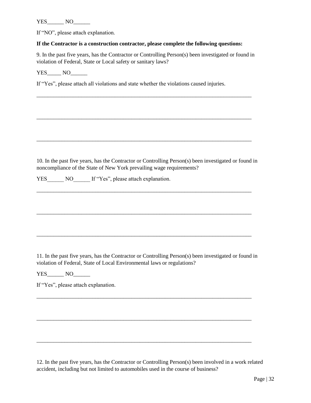YES\_\_\_\_\_\_\_ NO\_\_\_\_\_\_\_

If "NO", please attach explanation.

#### **If the Contractor is a construction contractor, please complete the following questions:**

9. In the past five years, has the Contractor or Controlling Person(s) been investigated or found in violation of Federal, State or Local safety or sanitary laws?

\_\_\_\_\_\_\_\_\_\_\_\_\_\_\_\_\_\_\_\_\_\_\_\_\_\_\_\_\_\_\_\_\_\_\_\_\_\_\_\_\_\_\_\_\_\_\_\_\_\_\_\_\_\_\_\_\_\_\_\_\_\_\_\_\_\_\_\_\_\_\_\_\_\_\_\_\_

\_\_\_\_\_\_\_\_\_\_\_\_\_\_\_\_\_\_\_\_\_\_\_\_\_\_\_\_\_\_\_\_\_\_\_\_\_\_\_\_\_\_\_\_\_\_\_\_\_\_\_\_\_\_\_\_\_\_\_\_\_\_\_\_\_\_\_\_\_\_\_\_\_\_\_\_\_

\_\_\_\_\_\_\_\_\_\_\_\_\_\_\_\_\_\_\_\_\_\_\_\_\_\_\_\_\_\_\_\_\_\_\_\_\_\_\_\_\_\_\_\_\_\_\_\_\_\_\_\_\_\_\_\_\_\_\_\_\_\_\_\_\_\_\_\_\_\_\_\_\_\_\_\_\_

YES NO

If "Yes", please attach all violations and state whether the violations caused injuries.

10. In the past five years, has the Contractor or Controlling Person(s) been investigated or found in noncompliance of the State of New York prevailing wage requirements?

\_\_\_\_\_\_\_\_\_\_\_\_\_\_\_\_\_\_\_\_\_\_\_\_\_\_\_\_\_\_\_\_\_\_\_\_\_\_\_\_\_\_\_\_\_\_\_\_\_\_\_\_\_\_\_\_\_\_\_\_\_\_\_\_\_\_\_\_\_\_\_\_\_\_\_\_\_

\_\_\_\_\_\_\_\_\_\_\_\_\_\_\_\_\_\_\_\_\_\_\_\_\_\_\_\_\_\_\_\_\_\_\_\_\_\_\_\_\_\_\_\_\_\_\_\_\_\_\_\_\_\_\_\_\_\_\_\_\_\_\_\_\_\_\_\_\_\_\_\_\_\_\_\_\_

\_\_\_\_\_\_\_\_\_\_\_\_\_\_\_\_\_\_\_\_\_\_\_\_\_\_\_\_\_\_\_\_\_\_\_\_\_\_\_\_\_\_\_\_\_\_\_\_\_\_\_\_\_\_\_\_\_\_\_\_\_\_\_\_\_\_\_\_\_\_\_\_\_\_\_\_\_

YES NO If "Yes", please attach explanation.

11. In the past five years, has the Contractor or Controlling Person(s) been investigated or found in violation of Federal, State of Local Environmental laws or regulations?

\_\_\_\_\_\_\_\_\_\_\_\_\_\_\_\_\_\_\_\_\_\_\_\_\_\_\_\_\_\_\_\_\_\_\_\_\_\_\_\_\_\_\_\_\_\_\_\_\_\_\_\_\_\_\_\_\_\_\_\_\_\_\_\_\_\_\_\_\_\_\_\_\_\_\_\_\_

\_\_\_\_\_\_\_\_\_\_\_\_\_\_\_\_\_\_\_\_\_\_\_\_\_\_\_\_\_\_\_\_\_\_\_\_\_\_\_\_\_\_\_\_\_\_\_\_\_\_\_\_\_\_\_\_\_\_\_\_\_\_\_\_\_\_\_\_\_\_\_\_\_\_\_\_\_

\_\_\_\_\_\_\_\_\_\_\_\_\_\_\_\_\_\_\_\_\_\_\_\_\_\_\_\_\_\_\_\_\_\_\_\_\_\_\_\_\_\_\_\_\_\_\_\_\_\_\_\_\_\_\_\_\_\_\_\_\_\_\_\_\_\_\_\_\_\_\_\_\_\_\_\_\_

YES\_\_\_\_\_\_\_ NO\_\_\_\_\_\_\_

If "Yes", please attach explanation.

12. In the past five years, has the Contractor or Controlling Person(s) been involved in a work related accident, including but not limited to automobiles used in the course of business?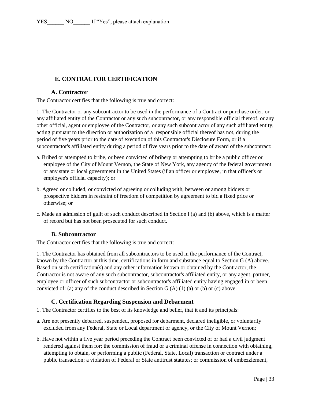### **E. CONTRACTOR CERTIFICATION**

#### **A. Contractor**

The Contractor certifies that the following is true and correct:

1. The Contractor or any subcontractor to be used in the performance of a Contract or purchase order, or any affiliated entity of the Contractor or any such subcontractor, or any responsible official thereof, or any other official, agent or employee of the Contractor, or any such subcontractor of any such affiliated entity, acting pursuant to the direction or authorization of a responsible official thereof has not, during the period of five years prior to the date of execution of this Contractor's Disclosure Form, or if a subcontractor's affiliated entity during a period of five years prior to the date of award of the subcontract:

\_\_\_\_\_\_\_\_\_\_\_\_\_\_\_\_\_\_\_\_\_\_\_\_\_\_\_\_\_\_\_\_\_\_\_\_\_\_\_\_\_\_\_\_\_\_\_\_\_\_\_\_\_\_\_\_\_\_\_\_\_\_\_\_\_\_\_\_\_\_\_\_\_\_\_\_\_

\_\_\_\_\_\_\_\_\_\_\_\_\_\_\_\_\_\_\_\_\_\_\_\_\_\_\_\_\_\_\_\_\_\_\_\_\_\_\_\_\_\_\_\_\_\_\_\_\_\_\_\_\_\_\_\_\_\_\_\_\_\_\_\_\_\_\_\_\_\_\_\_\_\_\_\_\_

- a. Bribed or attempted to bribe, or been convicted of bribery or attempting to bribe a public officer or employee of the City of Mount Vernon, the State of New York, any agency of the federal government or any state or local government in the United States (if an officer or employee, in that officer's or employee's official capacity); or
- b. Agreed or colluded, or convicted of agreeing or colluding with, between or among bidders or prospective bidders in restraint of freedom of competition by agreement to bid a fixed price or otherwise; or
- c. Made an admission of guilt of such conduct described in Section l (a) and (b) above, which is a matter of record but has not been prosecuted for such conduct.

#### **B. Subcontractor**

The Contractor certifies that the following is true and correct:

1. The Contractor has obtained from all subcontractors to be used in the performance of the Contract, known by the Contractor at this time, certifications in form and substance equal to Section G (A) above. Based on such certification(s) and any other information known or obtained by the Contractor, the Contractor is not aware of any such subcontractor, subcontractor's affiliated entity, or any agent, partner, employee or officer of such subcontractor or subcontractor's affiliated entity having engaged in or been convicted of: (a) any of the conduct described in Section G (A) (1) (a) or (b) or (c) above.

#### **C. Certification Regarding Suspension and Debarment**

- 1. The Contractor certifies to the best of its knowledge and belief, that it and its principals:
- a. Are not presently debarred, suspended, proposed for debarment, declared ineligible, or voluntarily excluded from any Federal, State or Local department or agency, or the City of Mount Vernon;
- b. Have not within a five year period preceding the Contract been convicted of or had a civil judgment rendered against them for: the commission of fraud or a criminal offense in connection with obtaining, attempting to obtain, or performing a public (Federal, State, Local) transaction or contract under a public transaction; a violation of Federal or State antitrust statutes; or commission of embezzlement,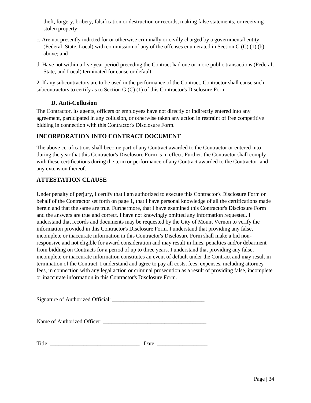theft, forgery, bribery, falsification or destruction or records, making false statements, or receiving stolen property;

- c. Are not presently indicted for or otherwise criminally or civilly charged by a governmental entity (Federal, State, Local) with commission of any of the offenses enumerated in Section G (C) (1) (b) above; and
- d. Have not within a five year period preceding the Contract had one or more public transactions (Federal, State, and Local) terminated for cause or default.

2. If any subcontractors are to be used in the performance of the Contract, Contractor shall cause such subcontractors to certify as to Section G (C) (1) of this Contractor's Disclosure Form.

### **D. Anti-Collusion**

The Contractor, its agents, officers or employees have not directly or indirectly entered into any agreement, participated in any collusion, or otherwise taken any action in restraint of free competitive bidding in connection with this Contractor's Disclosure Form.

### **INCORPORATION INTO CONTRACT DOCUMENT**

The above certifications shall become part of any Contract awarded to the Contractor or entered into during the year that this Contractor's Disclosure Form is in effect. Further, the Contractor shall comply with these certifications during the term or performance of any Contract awarded to the Contractor, and any extension thereof.

### **ATTESTATION CLAUSE**

Under penalty of perjury, I certify that I am authorized to execute this Contractor's Disclosure Form on behalf of the Contractor set forth on page 1, that I have personal knowledge of all the certifications made herein and that the same are true. Furthermore, that I have examined this Contractor's Disclosure Form and the answers are true and correct. I have not knowingly omitted any information requested. I understand that records and documents may be requested by the City of Mount Vernon to verify the information provided in this Contractor's Disclosure Form. I understand that providing any false, incomplete or inaccurate information in this Contractor's Disclosure Form shall make a bid nonresponsive and not eligible for award consideration and may result in fines, penalties and/or debarment from bidding on Contracts for a period of up to three years. I understand that providing any false, incomplete or inaccurate information constitutes an event of default under the Contract and may result in termination of the Contract. I understand and agree to pay all costs, fees, expenses, including attorney fees, in connection with any legal action or criminal prosecution as a result of providing false, incomplete or inaccurate information in this Contractor's Disclosure Form.

Signature of Authorized Official: \_\_\_\_\_\_\_\_\_\_\_\_\_\_\_\_\_\_\_\_\_\_\_\_\_\_\_\_\_\_\_\_\_

Name of Authorized Officer: \_\_\_\_\_\_\_\_\_\_\_\_\_\_\_\_\_\_\_\_\_\_\_\_\_\_\_\_\_\_\_\_\_\_\_\_\_

Title: \_\_\_\_\_\_\_\_\_\_\_\_\_\_\_\_\_\_\_\_\_\_\_\_\_\_\_\_\_\_\_\_ Date: \_\_\_\_\_\_\_\_\_\_\_\_\_\_\_\_\_\_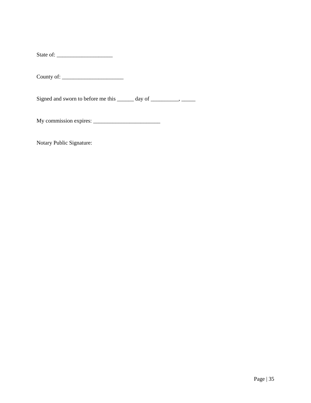State of: \_\_\_\_\_\_\_\_\_\_\_\_\_\_\_\_\_\_\_\_

County of: \_\_\_\_\_\_\_\_\_\_\_\_\_\_\_\_\_\_\_\_\_\_

Signed and sworn to before me this \_\_\_\_\_\_ day of \_\_\_\_\_\_\_\_, \_\_\_\_\_

My commission expires: \_\_\_\_\_\_\_\_\_\_\_\_\_\_\_\_\_\_\_\_\_\_\_\_

Notary Public Signature: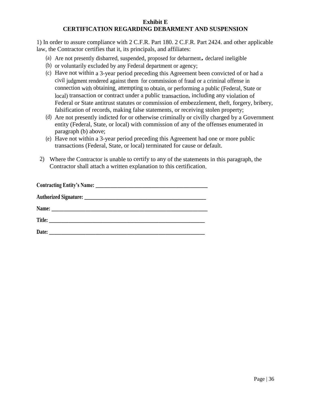#### **Exhibit E CERTIFICATION REGARDING DEBARMENT AND SUSPENSION**

<span id="page-35-0"></span>1) In order to assure compliance with 2 C.F.R. Part 180. 2 C.F.R. Part 2424. and other applicable law, the Contractor certifies that it, its principals, and affiliates:

- (a) Are not presently disbarred, suspended, proposed for debarment, declared ineligible
- (b) or voluntarily excluded by any Federal department or agency;
- (c) Have not within a 3-year period preceding this Agreement been convicted of or had a civil judgment rendered against them for commission of fraud or a criminal offense in connection with obtaining, attempting to obtain, or performing a public (Federal, State or local) transaction or contract under a public transaction, including any violation of Federal or State antitrust statutes or commission of embezzlement, theft, forgery, bribery, falsification of records, making false statements, or receiving stolen property;
- (d) Are not presently indicted for or otherwise criminally or civilly charged by a Government entity (Federal, State, or local) with commission of any of the offenses enumerated in paragraph (b) above;
- (e) Have not within a 3-year period preceding this Agreement had one or more public transactions (Federal, State, or local) terminated for cause or default.
- 2) Where the Contractor is unable to certify to any of the statements in this paragraph, the Contractor shall attach a written explanation to this certification.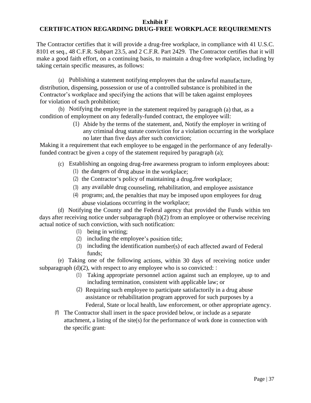#### **Exhibit F**

### <span id="page-36-0"></span>**CERTIFICATION REGARDING DRUG-FREE WORKPLACE REQUIREMENTS**

The Contractor certifies that it will provide a drug-free workplace, in compliance with 41 U.S.C. 8101 et seq., 48 C.F.R. Subpart 23.5, and 2 C.F.R. Part 2429. The Contractor certifies that it will make a good faith effort, on a continuing basis, to maintain a drug-free workplace, including by taking certain specific measures, as follows:

(a) Publishing a statement notifying employees that the unlawful manufacture, distribution, dispensing, possession or use of a controlled substance is prohibited in the Contractor's workplace and specifying the actions that will be taken against employees for violation of such prohibition;

(b) Notifying the employee in the statement required by paragraph (a) that, as a condition of employment on any federally-funded contract, the employee will:

> (1) Abide by the terms of the statement, and, Notify the employer in writing of any criminal drug statute conviction for a violation occurring in the workplace no later than five days after such conviction;

Making it a requirement that each employee to be engaged in the performance of any federallyfunded contract be given a copy of the statement required by paragraph (a);

- (c) Establishing an ongoing drug-free awareness program to inform employees about:
	- (1) the dangers of drug abuse in the workplace;
	- (2) the Contractor's policy of maintaining a drug-free workplace;
	- (3) any available drug counseling, rehabilitation, and employee assistance
	- (4) programs; and, the penalties that may be imposed upon employees for drug abuse violations occurring in the workplace;

(d) Notifying the County and the Federal agency that provided the Funds within ten days after receiving notice under subparagraph (b)(2) from an employee or otherwise receiving actual notice of such conviction, with such notification:

- (1) being in writing;
- (2) including the employee's position title;
- (3) including the identification number(s) of each affected award of Federal funds;

(e) Taking one of the following actions, within 30 days of receiving notice under subparagraph  $(d)(2)$ , with respect to any employee who is so convicted: :

- (1) Taking appropriate personnel action against such an employee, up to and including termination, consistent with applicable law; or
- (2) Requiring such employee to participate satisfactorily in a drug abuse assistance or rehabilitation program approved for such purposes by a Federal, State or local health, law enforcement, or other appropriate agency.
- (f) The Contractor shall insert in the space provided below, or include as a separate attachment, a listing of the site(s) for the performance of work done in connection with the specific grant: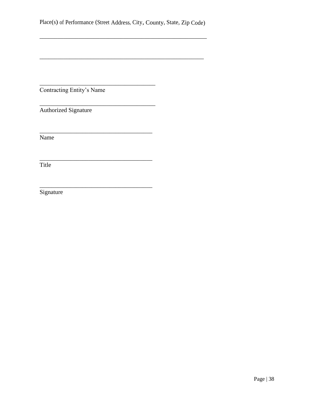Contracting Entity's Name

Authorized Signature

Name

Title

Signature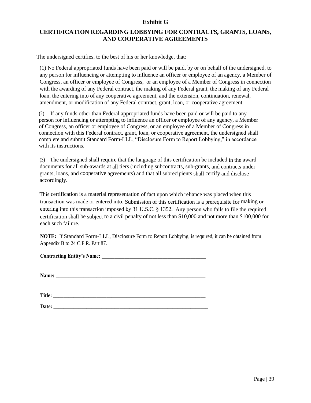#### **Exhibit G**

### <span id="page-38-0"></span>**CERTIFICATION REGARDING LOBBYING FOR CONTRACTS, GRANTS, LOANS, AND COOPERATIVE AGREEMENTS**

The undersigned certifies, to the best of his or her knowledge, that:

(1) No Federal appropriated funds have been paid or will be paid, by or on behalf of the undersigned, to any person for influencing or attempting to influence an officer or employee of an agency, a Member of Congress, an officer or employee of Congress, or an employee of a Member of Congress in connection with the awarding of any Federal contract, the making of any Federal grant, the making of any Federal loan, the entering into of any cooperative agreement, and the extension, continuation, renewal, amendment, or modification of any Federal contract, grant, loan, or cooperative agreement.

(2) If any funds other than Federal appropriated funds have been paid or will be paid to any person for influencing or attempting to influence an officer or employee of any agency, a Member of Congress, an officer or employee of Congress, or an employee of a Member of Congress in connection with this Federal contract, grant, loan, or cooperative agreement, the undersigned shall complete and submit Standard Form-LLL, "Disclosure Form to Report Lobbying," in accordance with its instructions.

(3) The undersigned shall require that the language of this certification be included in the award documents for all sub-awards at all tiers (including subcontracts, sub-grants, and contracts under grants, loans, and cooperative agreements) and that all subrecipients shall certify and disclose accordingly.

This certification is a material representation of fact upon which reliance was placed when this transaction was made or entered into. Submission of this certification is a prerequisite for making or entering into this transaction imposed by 31 U.S.C. § 1352. Any person who fails to file the required certification shall be subject to a civil penalty of not less than \$10,000 and not more than \$100,000 for each such failure.

**NOTE:** If Standard Form-LLL, Disclosure Form to Report Lobbying, is required, it can be obtained from Appendix B to 24 C.F.R. Part 87.

**Contracting Entity's Name: \_\_\_\_\_\_\_\_\_\_\_\_\_\_\_\_\_\_\_\_\_\_\_\_\_\_\_\_\_\_\_\_\_\_\_\_\_\_\_\_\_**

**Name:**  $\blacksquare$ 

Title:

 **Date: \_\_\_\_\_\_\_\_\_\_\_\_\_\_\_\_\_\_\_\_\_\_\_\_\_\_\_\_\_\_\_\_\_\_\_\_\_\_\_\_\_\_\_\_\_\_\_\_\_\_\_\_\_\_\_\_\_\_\_\_\_**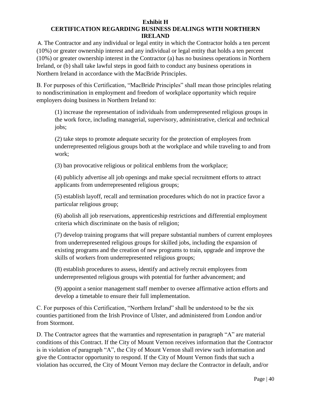### <span id="page-39-0"></span>**Exhibit H CERTIFICATION REGARDING BUSINESS DEALINGS WITH NORTHERN IRELAND**

A. The Contractor and any individual or legal entity in which the Contractor holds a ten percent (10%) or greater ownership interest and any individual or legal entity that holds a ten percent (10%) or greater ownership interest in the Contractor (a) has no business operations in Northern Ireland, or (b) shall take lawful steps in good faith to conduct any business operations in Northern Ireland in accordance with the MacBride Principles.

B. For purposes of this Certification, "MacBride Principles" shall mean those principles relating to nondiscrimination in employment and freedom of workplace opportunity which require employers doing business in Northern Ireland to:

(1) increase the representation of individuals from underrepresented religious groups in the work force, including managerial, supervisory, administrative, clerical and technical jobs;

(2) take steps to promote adequate security for the protection of employees from underrepresented religious groups both at the workplace and while traveling to and from work;

(3) ban provocative religious or political emblems from the workplace;

(4) publicly advertise all job openings and make special recruitment efforts to attract applicants from underrepresented religious groups;

(5) establish layoff, recall and termination procedures which do not in practice favor a particular religious group;

(6) abolish all job reservations, apprenticeship restrictions and differential employment criteria which discriminate on the basis of religion;

(7) develop training programs that will prepare substantial numbers of current employees from underrepresented religious groups for skilled jobs, including the expansion of existing programs and the creation of new programs to train, upgrade and improve the skills of workers from underrepresented religious groups;

(8) establish procedures to assess, identify and actively recruit employees from underrepresented religious groups with potential for further advancement; and

(9) appoint a senior management staff member to oversee affirmative action efforts and develop a timetable to ensure their full implementation.

C. For purposes of this Certification, "Northern Ireland" shall be understood to be the six counties partitioned from the Irish Province of Ulster, and administered from London and/or from Stormont.

D. The Contractor agrees that the warranties and representation in paragraph "A" are material conditions of this Contract. If the City of Mount Vernon receives information that the Contractor is in violation of paragraph "A", the City of Mount Vernon shall review such information and give the Contractor opportunity to respond. If the City of Mount Vernon finds that such a violation has occurred, the City of Mount Vernon may declare the Contractor in default, and/or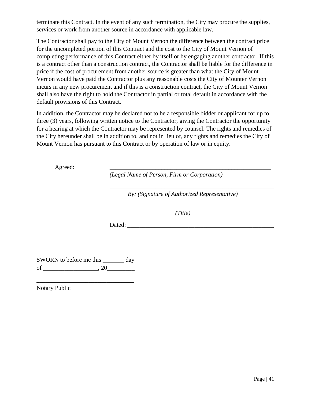terminate this Contract. In the event of any such termination, the City may procure the supplies, services or work from another source in accordance with applicable law.

The Contractor shall pay to the City of Mount Vernon the difference between the contract price for the uncompleted portion of this Contract and the cost to the City of Mount Vernon of completing performance of this Contract either by itself or by engaging another contractor. If this is a contract other than a construction contract, the Contractor shall be liable for the difference in price if the cost of procurement from another source is greater than what the City of Mount Vernon would have paid the Contractor plus any reasonable costs the City of Mounter Vernon incurs in any new procurement and if this is a construction contract, the City of Mount Vernon shall also have the right to hold the Contractor in partial or total default in accordance with the default provisions of this Contract.

In addition, the Contractor may be declared not to be a responsible bidder or applicant for up to three (3) years, following written notice to the Contractor, giving the Contractor the opportunity for a hearing at which the Contractor may be represented by counsel. The rights and remedies of the City hereunder shall be in addition to, and not in lieu of, any rights and remedies the City of Mount Vernon has pursuant to this Contract or by operation of law or in equity.

Agreed: \_\_\_\_\_\_\_\_\_\_\_\_\_\_\_\_\_\_\_\_\_\_\_\_\_\_\_\_\_\_\_\_\_\_\_\_\_\_\_\_\_\_\_\_\_\_\_\_\_\_\_\_\_

*(Legal Name of Person, Firm or Corporation)*

*By: (Signature of Authorized Representative)*

\_\_\_\_\_\_\_\_\_\_\_\_\_\_\_\_\_\_\_\_\_\_\_\_\_\_\_\_\_\_\_\_\_\_\_\_\_\_\_\_\_\_\_\_\_\_\_\_\_\_\_\_\_\_

\_\_\_\_\_\_\_\_\_\_\_\_\_\_\_\_\_\_\_\_\_\_\_\_\_\_\_\_\_\_\_\_\_\_\_\_\_\_\_\_\_\_\_\_\_\_\_\_\_\_\_\_\_\_

*(Title)*

Dated:

SWORN to before me this \_\_\_\_\_\_\_ day of  $\_\_\_\_\_\_\$ , 20 $\_\_\_\_\_\_\_\$ 

\_\_\_\_\_\_\_\_\_\_\_\_\_\_\_\_\_\_\_\_\_\_\_\_\_\_\_\_\_\_\_\_

Notary Public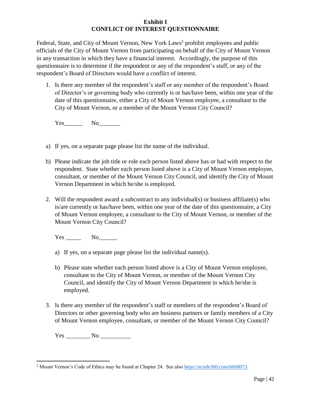#### **Exhibit I CONFLICT OF INTEREST QUESTIONNAIRE**

<span id="page-41-0"></span>Federal, State, and City of Mount Vernon, New York Laws<sup>2</sup> prohibit employees and public officials of the City of Mount Vernon from participating on behalf of the City of Mount Vernon in any transaction in which they have a financial interest. Accordingly, the purpose of this questionnaire is to determine if the respondent or any of the respondent's staff, or any of the respondent's Board of Directors would have a conflict of interest.

1. Is there any member of the respondent's staff or any member of the respondent's Board of Director's or governing body who currently is or has/have been, within one year of the date of this questionnaire, either a City of Mount Vernon employee, a consultant to the City of Mount Vernon, or a member of the Mount Vernon City Council?

Yes\_\_\_\_\_\_\_\_\_ No\_\_\_\_\_\_\_\_

- a) If yes, on a separate page please list the name of the individual.
- b) Please indicate the job title or role each person listed above has or had with respect to the respondent. State whether each person listed above is a City of Mount Vernon employee, consultant, or member of the Mount Vernon City Council, and identify the City of Mount Vernon Department in which he/she is employed.
- 2. Will the respondent award a subcontract to any individual(s) or business affiliate(s) who is/are currently or has/have been, within one year of the date of this questionnaire, a City of Mount Vernon employee, a consultant to the City of Mount Vernon, or member of the Mount Vernon City Council?
	- Yes No
	- a) If yes, on a separate page please list the individual name(s).
	- b) Please state whether each person listed above is a City of Mount Vernon employee, consultant to the City of Mount Vernon, or member of the Mount Vernon City Council, and identify the City of Mount Vernon Department in which he/she is employed.
- 3. Is there any member of the respondent's staff or members of the respondent's Board of Directors or other governing body who are business partners or family members of a City of Mount Vernon employee, consultant, or member of the Mount Vernon City Council?

 $Yes \_$  No  $\_$ 

 $\overline{a}$ <sup>2</sup> Mount Vernon's Code of Ethics may be found at Chapter 24. See also [https://ecode360.com/6600073.](https://ecode360.com/6600073)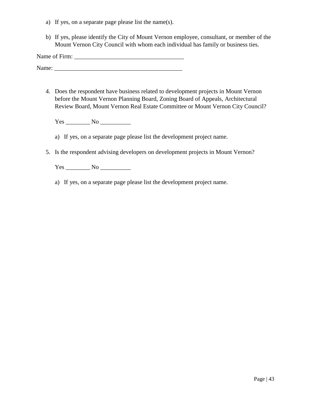- a) If yes, on a separate page please list the name(s).
- b) If yes, please identify the City of Mount Vernon employee, consultant, or member of the Mount Vernon City Council with whom each individual has family or business ties.

Name of Firm:

Name: \_\_\_\_\_\_\_\_\_\_\_\_\_\_\_\_\_\_\_\_\_\_\_\_\_\_\_\_\_\_\_\_\_\_\_\_\_\_\_\_\_\_

4. Does the respondent have business related to development projects in Mount Vernon before the Mount Vernon Planning Board, Zoning Board of Appeals, Architectural Review Board, Mount Vernon Real Estate Committee or Mount Vernon City Council?

Yes No No  $\overline{a}$ 

- a) If yes, on a separate page please list the development project name.
- 5. Is the respondent advising developers on development projects in Mount Vernon?

Yes \_\_\_\_\_\_\_\_ No \_\_\_\_\_\_\_\_\_\_

a) If yes, on a separate page please list the development project name.